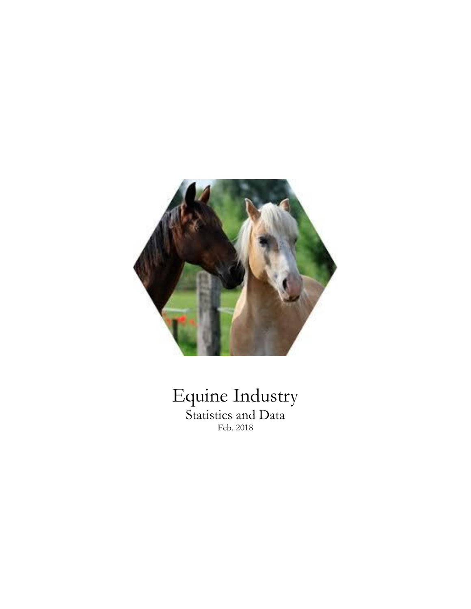

### Equine Industry Statistics and Data Feb. 2018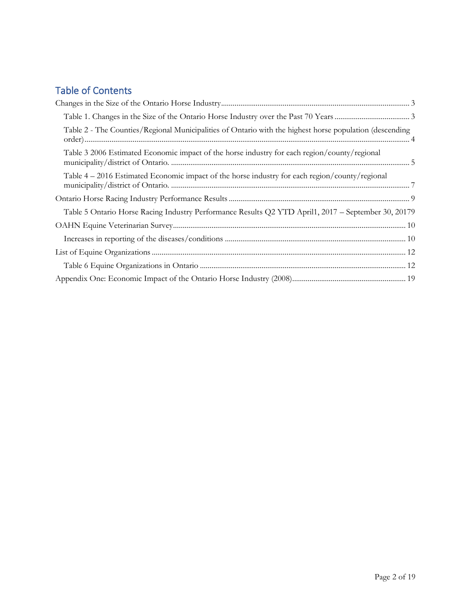### Table of Contents

| Table 2 - The Counties/Regional Municipalities of Ontario with the highest horse population (descending |  |
|---------------------------------------------------------------------------------------------------------|--|
| Table 3 2006 Estimated Economic impact of the horse industry for each region/county/regional            |  |
| Table $4-2016$ Estimated Economic impact of the horse industry for each region/county/regional          |  |
|                                                                                                         |  |
| Table 5 Ontario Horse Racing Industry Performance Results Q2 YTD April1, 2017 - September 30, 20179     |  |
|                                                                                                         |  |
|                                                                                                         |  |
|                                                                                                         |  |
|                                                                                                         |  |
|                                                                                                         |  |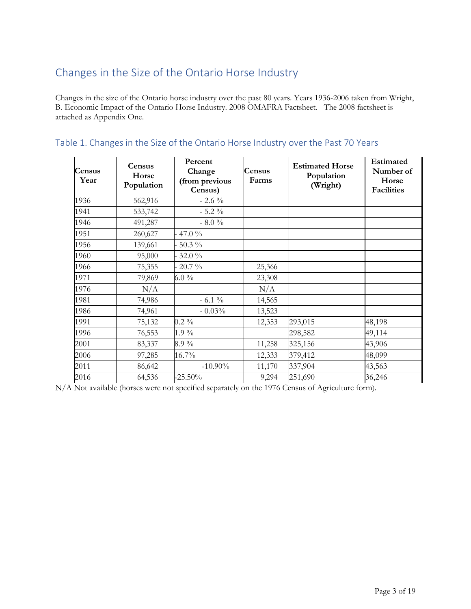### <span id="page-2-0"></span>Changes in the Size of the Ontario Horse Industry

Changes in the size of the Ontario horse industry over the past 80 years. Years 1936-2006 taken from Wright, B. Economic Impact of the Ontario Horse Industry. 2008 OMAFRA Factsheet. The 2008 factsheet is attached as Appendix One.

| <b>Census</b><br>Year | Census<br>Horse<br>Population | Percent<br>Change<br>(from previous<br>Census) | Census<br>Farms | <b>Estimated Horse</b><br>Population<br>(Wright) | <b>Estimated</b><br>Number of<br>Horse<br><b>Facilities</b> |
|-----------------------|-------------------------------|------------------------------------------------|-----------------|--------------------------------------------------|-------------------------------------------------------------|
| 1936                  | 562,916                       | $-2.6\%$                                       |                 |                                                  |                                                             |
| 1941                  | 533,742                       | $-5.2\%$                                       |                 |                                                  |                                                             |
| 1946                  | 491,287                       | $-8.0%$                                        |                 |                                                  |                                                             |
| 1951                  | 260,627                       | 47.0 %                                         |                 |                                                  |                                                             |
| 1956                  | 139,661                       | 50.3 %                                         |                 |                                                  |                                                             |
| 1960                  | 95,000                        | 32.0%                                          |                 |                                                  |                                                             |
| 1966                  | 75,355                        | 20.7 %                                         | 25,366          |                                                  |                                                             |
| 1971                  | 79,869                        | 6.0 $\%$                                       | 23,308          |                                                  |                                                             |
| 1976                  | N/A                           |                                                | N/A             |                                                  |                                                             |
| 1981                  | 74,986                        | $-6.1\%$                                       | 14,565          |                                                  |                                                             |
| 1986                  | 74,961                        | $-0.03%$                                       | 13,523          |                                                  |                                                             |
| 1991                  | 75,132                        | $0.2\%$                                        | 12,353          | 293,015                                          | 48,198                                                      |
| 1996                  | 76,553                        | $1.9\%$                                        |                 | 298,582                                          | 49,114                                                      |
| 2001                  | 83,337                        | $8.9\%$                                        | 11,258          | 325,156                                          | 43,906                                                      |
| 2006                  | 97,285                        | 16.7%                                          | 12,333          | 379,412                                          | 48,099                                                      |
| 2011                  | 86,642                        | $-10.90\%$                                     | 11,170          | 337,904                                          | 43,563                                                      |
| 2016                  | 64,536                        | $-25.50%$                                      | 9,294           | 251,690                                          | 36,246                                                      |

### <span id="page-2-1"></span>Table 1. Changes in the Size of the Ontario Horse Industry over the Past 70 Years

N/A Not available (horses were not specified separately on the 1976 Census of Agriculture form).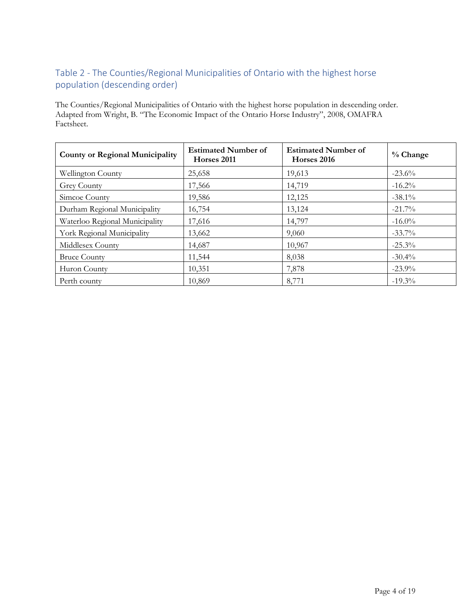### <span id="page-3-0"></span>Table 2 - The Counties/Regional Municipalities of Ontario with the highest horse population (descending order)

The Counties/Regional Municipalities of Ontario with the highest horse population in descending order. Adapted from Wright, B. "The Economic Impact of the Ontario Horse Industry", 2008, OMAFRA Factsheet.

| <b>County or Regional Municipality</b> | <b>Estimated Number of</b><br>Horses 2011 | <b>Estimated Number of</b><br>Horses 2016 | $%$ Change |
|----------------------------------------|-------------------------------------------|-------------------------------------------|------------|
| <b>Wellington County</b>               | 25,658                                    | 19,613                                    | $-23.6\%$  |
| Grey County                            | 17,566                                    | 14,719                                    | $-16.2\%$  |
| Simcoe County                          | 19,586                                    | 12,125                                    | $-38.1\%$  |
| Durham Regional Municipality           | 16,754                                    | 13,124                                    | $-21.7\%$  |
| Waterloo Regional Municipality         | 17,616                                    | 14,797                                    | $-16.0\%$  |
| York Regional Municipality             | 13,662                                    | 9,060                                     | $-33.7\%$  |
| Middlesex County                       | 14,687                                    | 10,967                                    | $-25.3\%$  |
| <b>Bruce County</b>                    | 11,544                                    | 8,038                                     | $-30.4\%$  |
| Huron County                           | 10,351                                    | 7,878                                     | $-23.9\%$  |
| Perth county                           | 10,869                                    | 8,771                                     | $-19.3\%$  |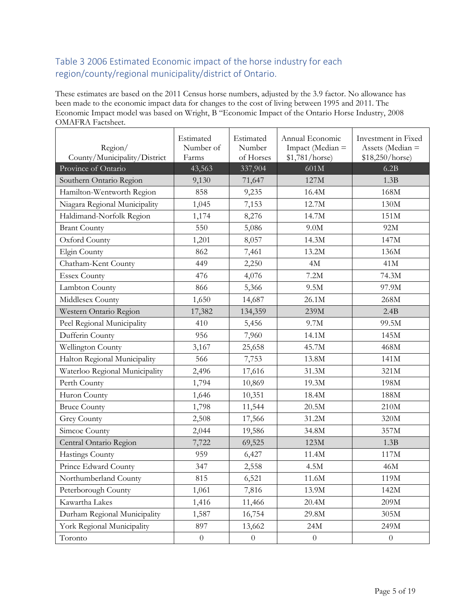### <span id="page-4-0"></span>Table 3 2006 Estimated Economic impact of the horse industry for each region/county/regional municipality/district of Ontario.

These estimates are based on the 2011 Census horse numbers, adjusted by the 3.9 factor. No allowance has been made to the economic impact data for changes to the cost of living between 1995 and 2011. The Economic Impact model was based on Wright, B "Economic Impact of the Ontario Horse Industry, 2008 OMAFRA Factsheet.

| Region/<br>County/Municipality/District | Estimated<br>Number of<br>Farms | Estimated<br>Number<br>of Horses | Annual Economic<br>Impact (Median =<br>\$1,781/horse) | Investment in Fixed<br>Assets (Median =<br>\$18,250/horse) |
|-----------------------------------------|---------------------------------|----------------------------------|-------------------------------------------------------|------------------------------------------------------------|
| Province of Ontario                     | 43,563                          | 337,904                          | 601M                                                  | 6.2B                                                       |
| Southern Ontario Region                 | 9,130                           | 71,647                           | 127M                                                  | 1.3B                                                       |
| Hamilton-Wentworth Region               | 858                             | 9,235                            | 16.4M                                                 | 168M                                                       |
| Niagara Regional Municipality           | 1,045                           | 7,153                            | 12.7M                                                 | 130M                                                       |
| Haldimand-Norfolk Region                | 1,174                           | 8,276                            | 14.7M                                                 | 151M                                                       |
| <b>Brant County</b>                     | 550                             | 5,086                            | 9.0M                                                  | 92M                                                        |
| Oxford County                           | 1,201                           | 8,057                            | 14.3M                                                 | 147M                                                       |
| Elgin County                            | 862                             | 7,461                            | 13.2M                                                 | 136M                                                       |
| Chatham-Kent County                     | 449                             | 2,250                            | 4M                                                    | 41M                                                        |
| <b>Essex County</b>                     | 476                             | 4,076                            | 7.2M                                                  | 74.3M                                                      |
| Lambton County                          | 866                             | 5,366                            | 9.5M                                                  | 97.9M                                                      |
| Middlesex County                        | 1,650                           | 14,687                           | 26.1M                                                 | 268M                                                       |
| Western Ontario Region                  | 17,382                          | 134,359                          | 239M                                                  | 2.4B                                                       |
| Peel Regional Municipality              | 410                             | 5,456                            | 9.7M                                                  | 99.5M                                                      |
| Dufferin County                         | 956                             | 7,960                            | 14.1M                                                 | 145M                                                       |
| Wellington County                       | 3,167                           | 25,658                           | 45.7M                                                 | 468M                                                       |
| Halton Regional Municipality            | 566                             | 7,753                            | 13.8M                                                 | 141M                                                       |
| Waterloo Regional Municipality          | 2,496                           | 17,616                           | 31.3M                                                 | 321M                                                       |
| Perth County                            | 1,794                           | 10,869                           | 19.3M                                                 | 198M                                                       |
| Huron County                            | 1,646                           | 10,351                           | 18.4M                                                 | 188M                                                       |
| <b>Bruce County</b>                     | 1,798                           | 11,544                           | 20.5M                                                 | 210M                                                       |
| <b>Grey County</b>                      | 2,508                           | 17,566                           | 31.2M                                                 | 320M                                                       |
| Simcoe County                           | 2,044                           | 19,586                           | 34.8M                                                 | 357M                                                       |
| Central Ontario Region                  | 7,722                           | 69,525                           | 123M                                                  | 1.3B                                                       |
| Hastings County                         | 959                             | 6,427                            | 11.4M                                                 | 117M                                                       |
| Prince Edward County                    | 347                             | 2,558                            | 4.5M                                                  | 46M                                                        |
| Northumberland County                   | 815                             | 6,521                            | $11.6\rm{M}$                                          | 119M                                                       |
| Peterborough County                     | 1,061                           | 7,816                            | 13.9M                                                 | 142M                                                       |
| Kawartha Lakes                          | 1,416                           | 11,466                           | 20.4M                                                 | 209M                                                       |
| Durham Regional Municipality            | 1,587                           | 16,754                           | 29.8M                                                 | $305M$                                                     |
| York Regional Municipality              | 897                             | 13,662                           | 24M                                                   | 249M                                                       |
| Toronto                                 | $\boldsymbol{0}$                | $\boldsymbol{0}$                 | $\boldsymbol{0}$                                      | $\boldsymbol{0}$                                           |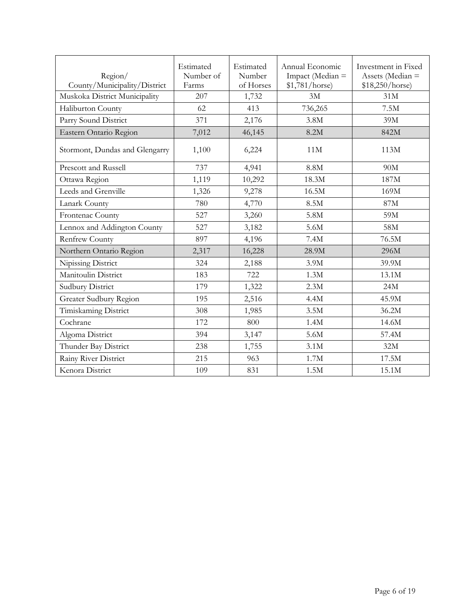| Region/<br>County/Municipality/District | Estimated<br>Number of<br>Farms | Estimated<br>Number<br>of Horses | Annual Economic<br>Impact (Median =<br>\$1,781/horse) | Investment in Fixed<br>Assets (Median =<br>\$18,250/horse) |
|-----------------------------------------|---------------------------------|----------------------------------|-------------------------------------------------------|------------------------------------------------------------|
| Muskoka District Municipality           | 207                             | 1,732                            | 3M                                                    | 31M                                                        |
| Haliburton County                       | 62                              | 413                              | 736,265                                               | 7.5M                                                       |
| Parry Sound District                    | 371                             | 2,176                            | 3.8M                                                  | 39M                                                        |
| Eastern Ontario Region                  | 7,012                           | 46,145                           | 8.2M                                                  | 842M                                                       |
| Stormont, Dundas and Glengarry          | 1,100                           | 6,224                            | 11M                                                   | 113M                                                       |
| Prescott and Russell                    | 737                             | 4,941                            | 8.8M                                                  | 90M                                                        |
| Ottawa Region                           | 1,119                           | 10,292                           | 18.3M                                                 | 187M                                                       |
| Leeds and Grenville                     | 1,326                           | 9,278                            | 16.5M                                                 | 169M                                                       |
| Lanark County                           | 780                             | 4,770                            | 8.5M                                                  | 87M                                                        |
| Frontenac County                        | 527                             | 3,260                            | 5.8M                                                  | 59M                                                        |
| Lennox and Addington County             | 527                             | 3,182                            | 5.6M                                                  | 58M                                                        |
| <b>Renfrew County</b>                   | 897                             | 4,196                            | 7.4M                                                  | 76.5M                                                      |
| Northern Ontario Region                 | 2,317                           | 16,228                           | 28.9M                                                 | 296M                                                       |
| Nipissing District                      | 324                             | 2,188                            | 3.9M                                                  | 39.9M                                                      |
| Manitoulin District                     | 183                             | 722                              | 1.3M                                                  | 13.1M                                                      |
| <b>Sudbury District</b>                 | 179                             | 1,322                            | 2.3M                                                  | 24M                                                        |
| Greater Sudbury Region                  | 195                             | 2,516                            | 4.4M                                                  | 45.9M                                                      |
| Timiskaming District                    | 308                             | 1,985                            | 3.5M                                                  | 36.2M                                                      |
| Cochrane                                | 172                             | 800                              | 1.4M                                                  | 14.6M                                                      |
| Algoma District                         | 394                             | 3,147                            | 5.6M                                                  | 57.4M                                                      |
| Thunder Bay District                    | 238                             | 1,755                            | 3.1M                                                  | 32M                                                        |
| Rainy River District                    | 215                             | 963                              | 1.7M                                                  | 17.5M                                                      |
| Kenora District                         | 109                             | 831                              | 1.5M                                                  | 15.1M                                                      |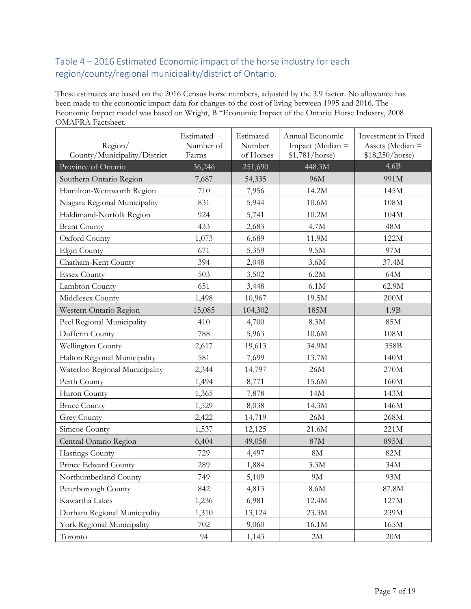### <span id="page-6-0"></span>Table 4 – 2016 Estimated Economic impact of the horse industry for each region/county/regional municipality/district of Ontario.

These estimates are based on the 2016 Census horse numbers, adjusted by the 3.9 factor. No allowance has been made to the economic impact data for changes to the cost of living between 1995 and 2016. The Economic Impact model was based on Wright, B "Economic Impact of the Ontario Horse Industry, 2008 OMAFRA Factsheet.

| Region/<br>County/Municipality/District | Estimated<br>Number of<br>Farms | Estimated<br>Number<br>of Horses | Annual Economic<br>Impact (Median =<br>\$1,781/horse) | Investment in Fixed<br>Assets (Median =<br>\$18,250/horse) |
|-----------------------------------------|---------------------------------|----------------------------------|-------------------------------------------------------|------------------------------------------------------------|
| Province of Ontario                     | 36,246                          | 251,690                          | 448.3M                                                | 4.6B                                                       |
| Southern Ontario Region                 | 7,687                           | 54,335                           | 96M                                                   | 991M                                                       |
| Hamilton-Wentworth Region               | 710                             | 7,956                            | 14.2M                                                 | 145M                                                       |
| Niagara Regional Municipality           | 831                             | 5,944                            | 10.6M                                                 | 108M                                                       |
| Haldimand-Norfolk Region                | 924                             | 5,741                            | 10.2M                                                 | 104M                                                       |
| <b>Brant County</b>                     | 433                             | 2,683                            | 4.7M                                                  | 48M                                                        |
| Oxford County                           | 1,073                           | 6,689                            | 11.9M                                                 | 122M                                                       |
| Elgin County                            | 671                             | 5,359                            | 9.5M                                                  | 97M                                                        |
| Chatham-Kent County                     | 394                             | 2,048                            | 3.6M                                                  | 37.4M                                                      |
| <b>Essex County</b>                     | 503                             | 3,502                            | 6.2M                                                  | 64M                                                        |
| Lambton County                          | 651                             | 3,448                            | 6.1M                                                  | 62.9M                                                      |
| Middlesex County                        | 1,498                           | 10,967                           | 19.5M                                                 | 200M                                                       |
| Western Ontario Region                  | 15,085                          | 104,302                          | 185M                                                  | 1.9B                                                       |
| Peel Regional Municipality              | 410                             | 4,700                            | 8.3M                                                  | 85M                                                        |
| Dufferin County                         | 788                             | 5,963                            | $10.6M$                                               | 108M                                                       |
| Wellington County                       | 2,617                           | 19,613                           | 34.9M                                                 | 358B                                                       |
| Halton Regional Municipality            | 581                             | 7,699                            | 13.7M                                                 | 140M                                                       |
| Waterloo Regional Municipality          | 2,344                           | 14,797                           | 26M                                                   | 270M                                                       |
| Perth County                            | 1,494                           | 8,771                            | 15.6M                                                 | 160M                                                       |
| Huron County                            | 1,365                           | 7,878                            | 14M                                                   | 143M                                                       |
| <b>Bruce County</b>                     | 1,529                           | 8,038                            | 14.3M                                                 | 146M                                                       |
| <b>Grey County</b>                      | 2,422                           | 14,719                           | 26M                                                   | 268M                                                       |
| Simcoe County                           | 1,537                           | 12,125                           | 21.6M                                                 | 221M                                                       |
| Central Ontario Region                  | 6,404                           | 49,058                           | $87\mathrm{M}$                                        | 895M                                                       |
| <b>Hastings County</b>                  | 729                             | 4,497                            | $8\mathrm{M}$                                         | 82M                                                        |
| Prince Edward County                    | 289                             | 1,884                            | $3.3M$                                                | 34M                                                        |
| Northumberland County                   | 749                             | 5,109                            | $9\mathrm{M}$                                         | 93M                                                        |
| Peterborough County                     | 842                             | 4,813                            | 8.6M                                                  | 87.8M                                                      |
| Kawartha Lakes                          | 1,236                           | 6,981                            | 12.4M                                                 | 127M                                                       |
| Durham Regional Municipality            | 1,310                           | 13,124                           | 23.3M                                                 | 239M                                                       |
| York Regional Municipality              | 702                             | 9,060                            | 16.1M                                                 | 165M                                                       |
| Toronto                                 | 94                              | 1,143                            | $2\mathbf{M}$                                         | $20\mbox{M}$                                               |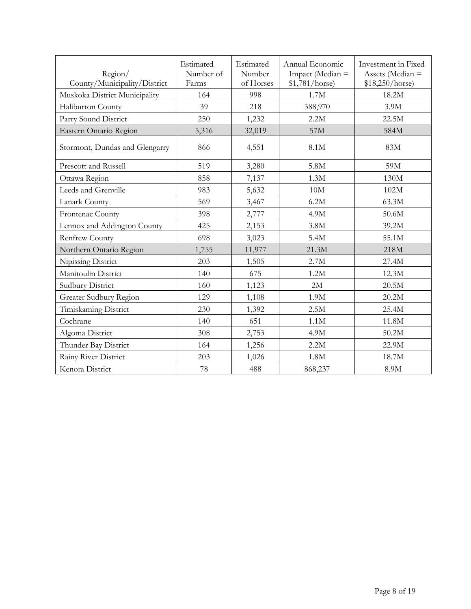| Region/<br>County/Municipality/District | Estimated<br>Number of<br>Farms | Estimated<br>Number<br>of Horses | Annual Economic<br>Impact (Median =<br>\$1,781/horse) | Investment in Fixed<br>Assets (Median =<br>\$18,250/horse) |
|-----------------------------------------|---------------------------------|----------------------------------|-------------------------------------------------------|------------------------------------------------------------|
| Muskoka District Municipality           | 164                             | 998                              | 1.7M                                                  | 18.2M                                                      |
| Haliburton County                       | 39                              | 218                              | 388,970                                               | 3.9M                                                       |
| Parry Sound District                    | 250                             | 1,232                            | 2.2M                                                  | 22.5M                                                      |
| Eastern Ontario Region                  | 5,316                           | 32,019                           | 57M                                                   | 584M                                                       |
| Stormont, Dundas and Glengarry          | 866                             | 4,551                            | 8.1M                                                  | 83M                                                        |
| Prescott and Russell                    | 519                             | 3,280                            | 5.8M                                                  | 59M                                                        |
| Ottawa Region                           | 858                             | 7,137                            | 1.3M                                                  | 130M                                                       |
| Leeds and Grenville                     | 983                             | 5,632                            | $10M$                                                 | 102M                                                       |
| Lanark County                           | 569                             | 3,467                            | 6.2M                                                  | 63.3M                                                      |
| Frontenac County                        | 398                             | 2,777                            | 4.9M                                                  | 50.6M                                                      |
| Lennox and Addington County             | 425                             | 2,153                            | 3.8M                                                  | 39.2M                                                      |
| <b>Renfrew County</b>                   | 698                             | 3,023                            | 5.4M                                                  | 55.1M                                                      |
| Northern Ontario Region                 | 1,755                           | 11,977                           | 21.3M                                                 | 218M                                                       |
| Nipissing District                      | 203                             | 1,505                            | 2.7M                                                  | 27.4M                                                      |
| Manitoulin District                     | 140                             | 675                              | 1.2M                                                  | 12.3M                                                      |
| Sudbury District                        | 160                             | 1,123                            | 2M                                                    | 20.5M                                                      |
| Greater Sudbury Region                  | 129                             | 1,108                            | 1.9M                                                  | 20.2M                                                      |
| Timiskaming District                    | 230                             | 1,392                            | 2.5M                                                  | 25.4M                                                      |
| Cochrane                                | 140                             | 651                              | 1.1M                                                  | 11.8M                                                      |
| Algoma District                         | 308                             | 2,753                            | 4.9M                                                  | 50.2M                                                      |
| Thunder Bay District                    | 164                             | 1,256                            | 2.2M                                                  | 22.9M                                                      |
| Rainy River District                    | 203                             | 1,026                            | 1.8M                                                  | 18.7M                                                      |
| Kenora District                         | 78                              | 488                              | 868,237                                               | 8.9M                                                       |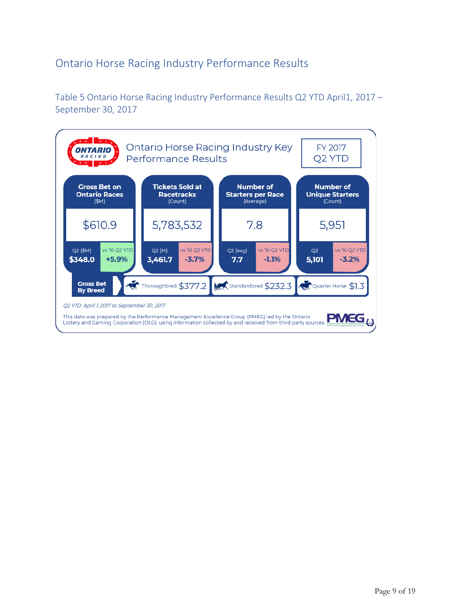### <span id="page-8-0"></span>Ontario Horse Racing Industry Performance Results

<span id="page-8-1"></span>Table 5 Ontario Horse Racing Industry Performance Results Q2 YTD April1, 2017 – September 30, 2017

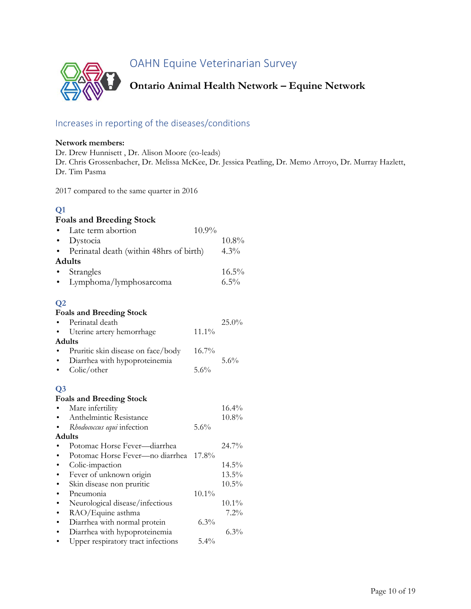<span id="page-9-0"></span>OAHN Equine Veterinarian Survey



### <span id="page-9-1"></span>Increases in reporting of the diseases/conditions

#### **Network members:**

Dr. Drew Hunnisett , Dr. Alison Moore (co-leads) Dr. Chris Grossenbacher, Dr. Melissa McKee, Dr. Jessica Peatling, Dr. Memo Arroyo, Dr. Murray Hazlett, Dr. Tim Pasma

2017 compared to the same quarter in 2016

### **Q1**

### **Foals and Breeding Stock**

| $\bullet$      | Late term abortion                      | 10.9%    |          |
|----------------|-----------------------------------------|----------|----------|
|                | Dystocia                                |          | $10.8\%$ |
|                | Perinatal death (within 48hrs of birth) |          | 4.3%     |
|                | <b>Adults</b>                           |          |          |
|                | Strangles                               |          | $16.5\%$ |
|                | Lymphoma/lymphosarcoma                  |          | 6.5%     |
|                |                                         |          |          |
| Q <sub>2</sub> |                                         |          |          |
|                | <b>Foals and Breeding Stock</b>         |          |          |
|                | Perinatal death                         |          | 25.0%    |
|                | Uterine artery hemorrhage               | 11.1%    |          |
|                | <b>Adults</b>                           |          |          |
|                | Pruritic skin disease on face/body      | $16.7\%$ |          |
|                | Diarrhea with hypoproteinemia           |          | 5.6%     |
|                | Colic/other                             | 5.6%     |          |
| Q <sub>3</sub> |                                         |          |          |
|                | <b>Foals and Breeding Stock</b>         |          |          |
|                | Mare infertility                        |          | 16.4%    |
| $\bullet$      | Anthelmintic Resistance                 |          | $10.8\%$ |
|                | Rhodococcus equi infection              | 5.6%     |          |
|                | <b>Adults</b>                           |          |          |
|                | Potomac Horse Fever-diarrhea            |          | 24.7%    |
| $\bullet$      | Potomac Horse Fever-no diarrhea         | 17.8%    |          |
| $\bullet$      | Colic-impaction                         |          | 14.5%    |
|                | Fever of unknown origin                 |          | 13.5%    |
|                | Skin disease non pruritic               |          | $10.5\%$ |
| $\bullet$      | Pneumonia                               | $10.1\%$ |          |
| $\bullet$      | Neurological disease/infectious         |          | $10.1\%$ |
| $\bullet$      |                                         |          |          |
|                | RAO/Equine asthma                       |          | 7.2%     |
| $\bullet$      | Diarrhea with normal protein            | $6.3\%$  | 2.001    |

<sup>•</sup> Diarrhea with hypoproteinemia 6.3%<br>• Upper respiratory tract infections 5.4% Upper respiratory tract infections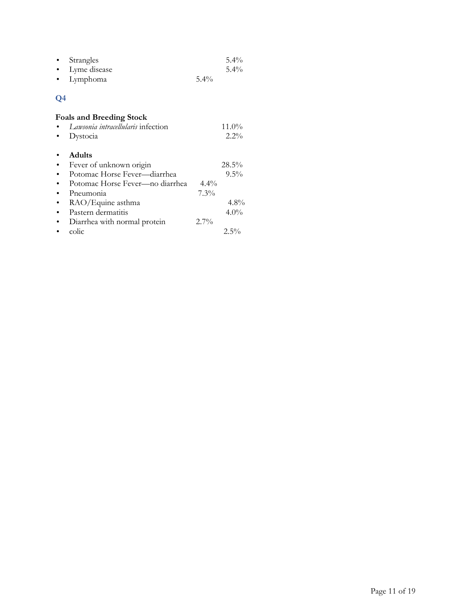| • Strangles        |         | $5.4\%$ |
|--------------------|---------|---------|
| • Lyme disease     |         | $5.4\%$ |
| $\bullet$ Lymphoma | $5.4\%$ |         |

### **Q4**

| <b>Foals and Breeding Stock</b>    |         |         |
|------------------------------------|---------|---------|
| Lawsonia intracellularis infection |         | 11.0%   |
| Dystocia                           |         | $2.2\%$ |
| <b>Adults</b>                      |         |         |
| Fever of unknown origin            |         | 28.5%   |
| Potomac Horse Fever—diarrhea       |         | $9.5\%$ |
| Potomac Horse Fever—no diarrhea    | $4.4\%$ |         |
| Pneumonia                          | $7.3\%$ |         |
| RAO/Equine asthma                  |         | $4.8\%$ |
| Pastern dermatitis                 |         | $4.0\%$ |
| Diarrhea with normal protein       | $2.7\%$ |         |
| colic                              |         | $2.5\%$ |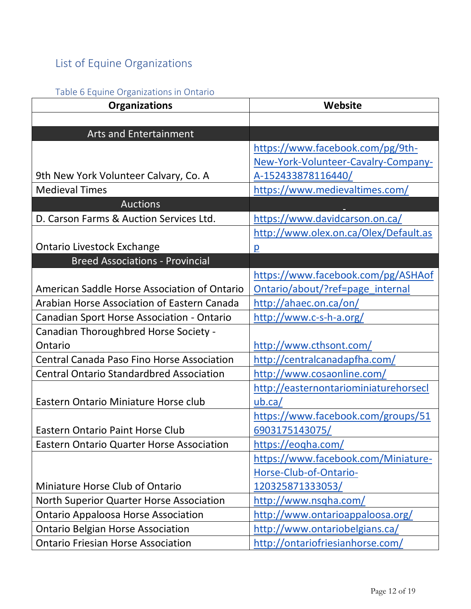## <span id="page-11-0"></span>List of Equine Organizations

### <span id="page-11-1"></span>Table 6 Equine Organizations in Ontario

| <b>Organizations</b>                                | Website                               |
|-----------------------------------------------------|---------------------------------------|
|                                                     |                                       |
| <b>Arts and Entertainment</b>                       |                                       |
|                                                     | https://www.facebook.com/pg/9th-      |
|                                                     | New-York-Volunteer-Cavalry-Company-   |
| 9th New York Volunteer Calvary, Co. A               | A-152433878116440/                    |
| <b>Medieval Times</b>                               | https://www.medievaltimes.com/        |
| <b>Auctions</b>                                     |                                       |
| D. Carson Farms & Auction Services Ltd.             | https://www.davidcarson.on.ca/        |
|                                                     | http://www.olex.on.ca/Olex/Default.as |
| <b>Ontario Livestock Exchange</b>                   | $\overline{p}$                        |
| <b>Breed Associations - Provincial</b>              |                                       |
|                                                     | https://www.facebook.com/pg/ASHAof    |
| <b>American Saddle Horse Association of Ontario</b> | Ontario/about/?ref=page internal      |
| <b>Arabian Horse Association of Eastern Canada</b>  | http://ahaec.on.ca/on/                |
| <b>Canadian Sport Horse Association - Ontario</b>   | http://www.c-s-h-a.org/               |
| Canadian Thoroughbred Horse Society -               |                                       |
| Ontario                                             | http://www.cthsont.com/               |
| Central Canada Paso Fino Horse Association          | http://centralcanadapfha.com/         |
| <b>Central Ontario Standardbred Association</b>     | http://www.cosaonline.com/            |
|                                                     | http://easternontariominiaturehorsecl |
| Eastern Ontario Miniature Horse club                | ub.ca/                                |
|                                                     | https://www.facebook.com/groups/51    |
| <b>Eastern Ontario Paint Horse Club</b>             | 6903175143075/                        |
| <b>Eastern Ontario Quarter Horse Association</b>    | https://eogha.com/                    |
|                                                     | https://www.facebook.com/Miniature-   |
|                                                     | Horse-Club-of-Ontario-                |
| Miniature Horse Club of Ontario                     | <u>120325871333053/</u>               |
| North Superior Quarter Horse Association            | http://www.nsqha.com/                 |
| <b>Ontario Appaloosa Horse Association</b>          | http://www.ontarioappaloosa.org/      |
| <b>Ontario Belgian Horse Association</b>            | http://www.ontariobelgians.ca/        |
| <b>Ontario Friesian Horse Association</b>           | http://ontariofriesianhorse.com/      |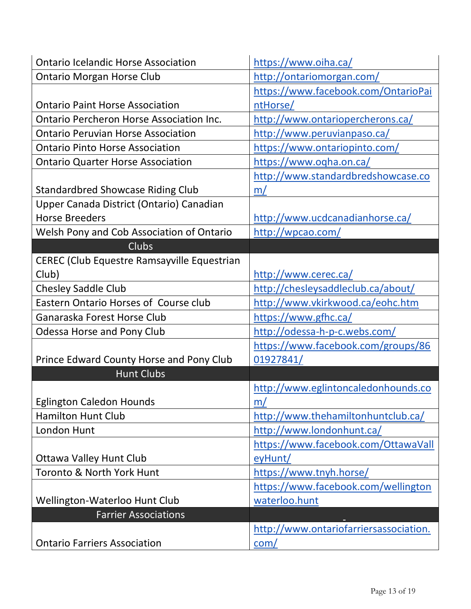| <b>Ontario Icelandic Horse Association</b>         | https://www.oiha.ca/                   |
|----------------------------------------------------|----------------------------------------|
| <b>Ontario Morgan Horse Club</b>                   | http://ontariomorgan.com/              |
|                                                    | https://www.facebook.com/OntarioPai    |
| <b>Ontario Paint Horse Association</b>             | ntHorse/                               |
| <b>Ontario Percheron Horse Association Inc.</b>    | http://www.ontariopercherons.ca/       |
| <b>Ontario Peruvian Horse Association</b>          | http://www.peruvianpaso.ca/            |
| <b>Ontario Pinto Horse Association</b>             | https://www.ontariopinto.com/          |
| <b>Ontario Quarter Horse Association</b>           | https://www.oqha.on.ca/                |
|                                                    | http://www.standardbredshowcase.co     |
| <b>Standardbred Showcase Riding Club</b>           | m/                                     |
| Upper Canada District (Ontario) Canadian           |                                        |
| <b>Horse Breeders</b>                              | http://www.ucdcanadianhorse.ca/        |
| Welsh Pony and Cob Association of Ontario          | http://wpcao.com/                      |
| <b>Clubs</b>                                       |                                        |
| <b>CEREC (Club Equestre Ramsayville Equestrian</b> |                                        |
| Club)                                              | http://www.cerec.ca/                   |
| <b>Chesley Saddle Club</b>                         | http://chesleysaddleclub.ca/about/     |
| Eastern Ontario Horses of Course club              | http://www.vkirkwood.ca/eohc.htm       |
| Ganaraska Forest Horse Club                        | https://www.gfhc.ca/                   |
| <b>Odessa Horse and Pony Club</b>                  | http://odessa-h-p-c.webs.com/          |
|                                                    | https://www.facebook.com/groups/86     |
| Prince Edward County Horse and Pony Club           | 01927841/                              |
| <b>Hunt Clubs</b>                                  |                                        |
|                                                    | http://www.eglintoncaledonhounds.co    |
| <b>Eglington Caledon Hounds</b>                    | m/                                     |
| Hamilton Hunt Club                                 | http://www.thehamiltonhuntclub.ca/     |
| London Hunt                                        | http://www.londonhunt.ca/              |
|                                                    | https://www.facebook.com/OttawaVall    |
| <b>Ottawa Valley Hunt Club</b>                     | eyHunt/                                |
| Toronto & North York Hunt                          | https://www.tnyh.horse/                |
|                                                    | https://www.facebook.com/wellington    |
| Wellington-Waterloo Hunt Club                      | waterloo.hunt                          |
| <b>Farrier Associations</b>                        |                                        |
|                                                    | http://www.ontariofarriersassociation. |
| <b>Ontario Farriers Association</b>                | com/                                   |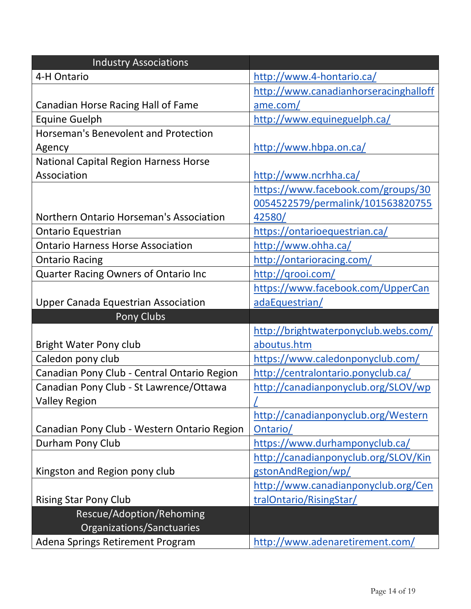| <b>Industry Associations</b>                 |                                       |
|----------------------------------------------|---------------------------------------|
| 4-H Ontario                                  | http://www.4-hontario.ca/             |
|                                              | http://www.canadianhorseracinghalloff |
| Canadian Horse Racing Hall of Fame           | ame.com/                              |
| <b>Equine Guelph</b>                         | http://www.equineguelph.ca/           |
| Horseman's Benevolent and Protection         |                                       |
| Agency                                       | http://www.hbpa.on.ca/                |
| <b>National Capital Region Harness Horse</b> |                                       |
| Association                                  | http://www.ncrhha.ca/                 |
|                                              | https://www.facebook.com/groups/30    |
|                                              | 0054522579/permalink/101563820755     |
| Northern Ontario Horseman's Association      | 42580/                                |
| <b>Ontario Equestrian</b>                    | https://ontarioequestrian.ca/         |
| <b>Ontario Harness Horse Association</b>     | http://www.ohha.ca/                   |
| <b>Ontario Racing</b>                        | http://ontarioracing.com/             |
| Quarter Racing Owners of Ontario Inc         | http://grooi.com/                     |
|                                              | https://www.facebook.com/UpperCan     |
| <b>Upper Canada Equestrian Association</b>   | adaEquestrian/                        |
| Pony Clubs                                   |                                       |
|                                              | http://brightwaterponyclub.webs.com/  |
| <b>Bright Water Pony club</b>                | aboutus.htm                           |
| Caledon pony club                            | https://www.caledonponyclub.com/      |
| Canadian Pony Club - Central Ontario Region  | http://centralontario.ponyclub.ca/    |
| Canadian Pony Club - St Lawrence/Ottawa      | http://canadianponyclub.org/SLOV/wp   |
| <b>Valley Region</b>                         | L                                     |
|                                              | http://canadianponyclub.org/Western   |
| Canadian Pony Club - Western Ontario Region  | Ontario/                              |
| Durham Pony Club                             | https://www.durhamponyclub.ca/        |
|                                              | http://canadianponyclub.org/SLOV/Kin  |
| Kingston and Region pony club                | gstonAndRegion/wp/                    |
|                                              | http://www.canadianponyclub.org/Cen   |
| <b>Rising Star Pony Club</b>                 | tralOntario/RisingStar/               |
| Rescue/Adoption/Rehoming                     |                                       |
| Organizations/Sanctuaries                    |                                       |
| Adena Springs Retirement Program             | http://www.adenaretirement.com/       |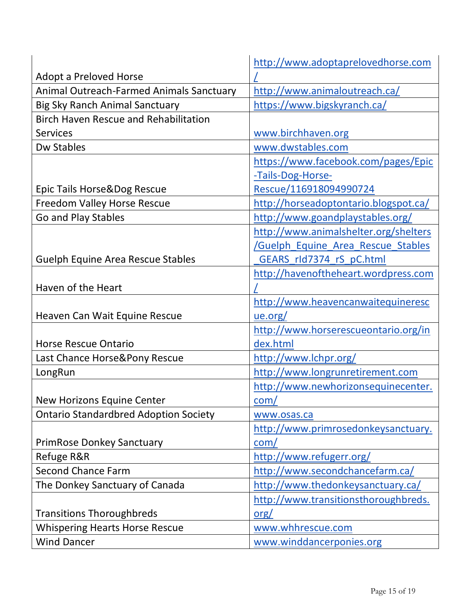|                                              | http://www.adoptaprelovedhorse.com       |
|----------------------------------------------|------------------------------------------|
| <b>Adopt a Preloved Horse</b>                |                                          |
| Animal Outreach-Farmed Animals Sanctuary     | http://www.animaloutreach.ca/            |
| <b>Big Sky Ranch Animal Sanctuary</b>        | https://www.bigskyranch.ca/              |
| <b>Birch Haven Rescue and Rehabilitation</b> |                                          |
| <b>Services</b>                              | www.birchhaven.org                       |
| <b>Dw Stables</b>                            | www.dwstables.com                        |
|                                              | https://www.facebook.com/pages/Epic      |
|                                              | -Tails-Dog-Horse-                        |
| Epic Tails Horse&Dog Rescue                  | Rescue/116918094990724                   |
| Freedom Valley Horse Rescue                  | http://horseadoptontario.blogspot.ca/    |
| Go and Play Stables                          | http://www.goandplaystables.org/         |
|                                              | http://www.animalshelter.org/shelters    |
|                                              | <b>Guelph Equine Area Rescue Stables</b> |
| <b>Guelph Equine Area Rescue Stables</b>     | GEARS rld7374 rS pC.html                 |
|                                              | http://havenoftheheart.wordpress.com     |
| Haven of the Heart                           |                                          |
|                                              | http://www.heavencanwaitequineresc       |
| Heaven Can Wait Equine Rescue                | ue.org/                                  |
|                                              | http://www.horserescueontario.org/in     |
| <b>Horse Rescue Ontario</b>                  | dex.html                                 |
| Last Chance Horse&Pony Rescue                | http://www.lchpr.org/                    |
| LongRun                                      | http://www.longrunretirement.com         |
|                                              | http://www.newhorizonsequinecenter.      |
| New Horizons Equine Center                   | com/                                     |
| <b>Ontario Standardbred Adoption Society</b> | www.osas.ca                              |
|                                              | http://www.primrosedonkeysanctuary.      |
| <b>PrimRose Donkey Sanctuary</b>             | com/                                     |
| Refuge R&R                                   | http://www.refugerr.org/                 |
| <b>Second Chance Farm</b>                    | http://www.secondchancefarm.ca/          |
| The Donkey Sanctuary of Canada               | http://www.thedonkeysanctuary.ca/        |
|                                              | http://www.transitionsthoroughbreds.     |
| <b>Transitions Thoroughbreds</b>             | org/                                     |
| <b>Whispering Hearts Horse Rescue</b>        | www.whhrescue.com                        |
| <b>Wind Dancer</b>                           | www.winddancerponies.org                 |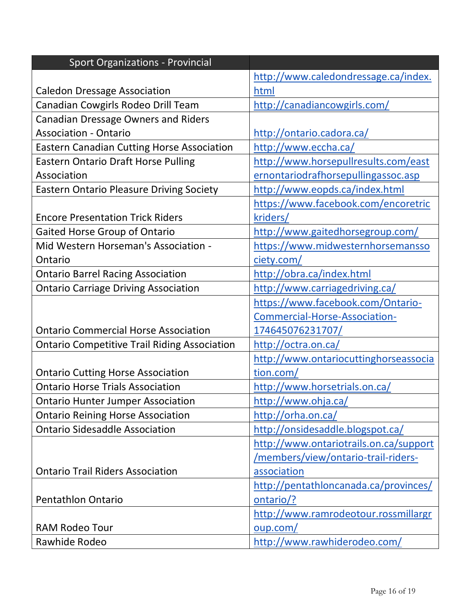| <b>Sport Organizations - Provincial</b>             |                                        |
|-----------------------------------------------------|----------------------------------------|
|                                                     | http://www.caledondressage.ca/index.   |
| <b>Caledon Dressage Association</b>                 | html                                   |
| Canadian Cowgirls Rodeo Drill Team                  | http://canadiancowgirls.com/           |
| <b>Canadian Dressage Owners and Riders</b>          |                                        |
| <b>Association - Ontario</b>                        | http://ontario.cadora.ca/              |
| <b>Eastern Canadian Cutting Horse Association</b>   | http://www.eccha.ca/                   |
| <b>Eastern Ontario Draft Horse Pulling</b>          | http://www.horsepullresults.com/east   |
| Association                                         | ernontariodrafhorsepullingassoc.asp    |
| <b>Eastern Ontario Pleasure Driving Society</b>     | http://www.eopds.ca/index.html         |
|                                                     | https://www.facebook.com/encoretric    |
| <b>Encore Presentation Trick Riders</b>             | kriders/                               |
| Gaited Horse Group of Ontario                       | http://www.gaitedhorsegroup.com/       |
| Mid Western Horseman's Association -                | https://www.midwesternhorsemansso      |
| Ontario                                             | ciety.com/                             |
| <b>Ontario Barrel Racing Association</b>            | http://obra.ca/index.html              |
| <b>Ontario Carriage Driving Association</b>         | http://www.carriagedriving.ca/         |
|                                                     | https://www.facebook.com/Ontario-      |
|                                                     | Commercial-Horse-Association-          |
| <b>Ontario Commercial Horse Association</b>         | 174645076231707/                       |
| <b>Ontario Competitive Trail Riding Association</b> | http://octra.on.ca/                    |
|                                                     | http://www.ontariocuttinghorseassocia  |
| <b>Ontario Cutting Horse Association</b>            | tion.com/                              |
| <b>Ontario Horse Trials Association</b>             | http://www.horsetrials.on.ca/          |
| <b>Ontario Hunter Jumper Association</b>            | http://www.ohja.ca/                    |
| <b>Ontario Reining Horse Association</b>            | http://orha.on.ca/                     |
| <b>Ontario Sidesaddle Association</b>               | http://onsidesaddle.blogspot.ca/       |
|                                                     | http://www.ontariotrails.on.ca/support |
|                                                     | /members/view/ontario-trail-riders-    |
| <b>Ontario Trail Riders Association</b>             | association                            |
|                                                     | http://pentathloncanada.ca/provinces/  |
| <b>Pentathlon Ontario</b>                           | ontario/?                              |
|                                                     | http://www.ramrodeotour.rossmillargr   |
| <b>RAM Rodeo Tour</b>                               | oup.com/                               |
| Rawhide Rodeo                                       | http://www.rawhiderodeo.com/           |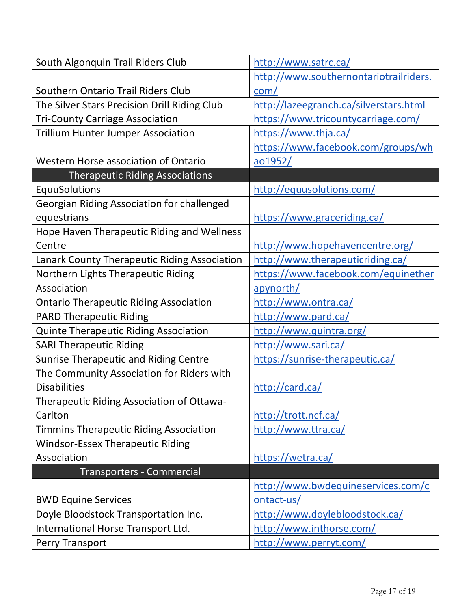| South Algonquin Trail Riders Club             | http://www.satrc.ca/                   |
|-----------------------------------------------|----------------------------------------|
|                                               | http://www.southernontariotrailriders. |
| Southern Ontario Trail Riders Club            | com/                                   |
| The Silver Stars Precision Drill Riding Club  | http://lazeegranch.ca/silverstars.html |
| <b>Tri-County Carriage Association</b>        | https://www.tricountycarriage.com/     |
| <b>Trillium Hunter Jumper Association</b>     | https://www.thja.ca/                   |
|                                               | https://www.facebook.com/groups/wh     |
| <b>Western Horse association of Ontario</b>   | <u>ao1952/</u>                         |
| <b>Therapeutic Riding Associations</b>        |                                        |
| EquuSolutions                                 | http://equusolutions.com/              |
| Georgian Riding Association for challenged    |                                        |
| equestrians                                   | https://www.graceriding.ca/            |
| Hope Haven Therapeutic Riding and Wellness    |                                        |
| Centre                                        | http://www.hopehavencentre.org/        |
| Lanark County Therapeutic Riding Association  | http://www.therapeuticriding.ca/       |
| Northern Lights Therapeutic Riding            | https://www.facebook.com/equinether    |
| Association                                   | apynorth/                              |
| <b>Ontario Therapeutic Riding Association</b> | http://www.ontra.ca/                   |
| <b>PARD Therapeutic Riding</b>                | http://www.pard.ca/                    |
| <b>Quinte Therapeutic Riding Association</b>  | http://www.quintra.org/                |
| <b>SARI Therapeutic Riding</b>                | http://www.sari.ca/                    |
| <b>Sunrise Therapeutic and Riding Centre</b>  | https://sunrise-therapeutic.ca/        |
| The Community Association for Riders with     |                                        |
| <b>Disabilities</b>                           | http://card.ca/                        |
| Therapeutic Riding Association of Ottawa-     |                                        |
| Carlton                                       | http://trott.ncf.ca/                   |
| <b>Timmins Therapeutic Riding Association</b> | http://www.ttra.ca/                    |
| <b>Windsor-Essex Therapeutic Riding</b>       |                                        |
| Association                                   | https://wetra.ca/                      |
| <b>Transporters - Commercial</b>              |                                        |
|                                               | http://www.bwdequineservices.com/c     |
| <b>BWD Equine Services</b>                    | ontact-us/                             |
| Doyle Bloodstock Transportation Inc.          | http://www.doylebloodstock.ca/         |
| International Horse Transport Ltd.            | http://www.inthorse.com/               |
| Perry Transport                               | http://www.perryt.com/                 |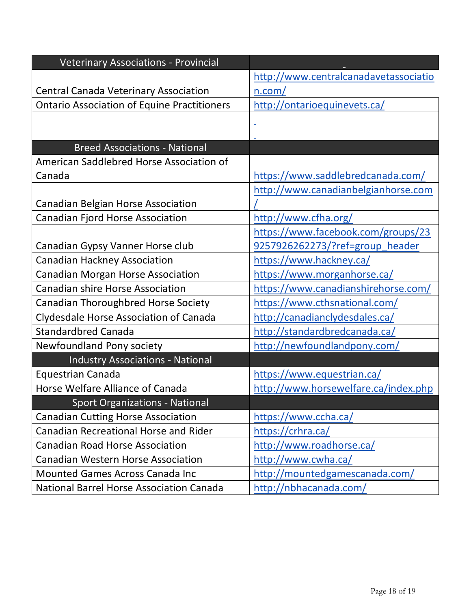| <b>Veterinary Associations - Provincial</b>        |                                       |
|----------------------------------------------------|---------------------------------------|
|                                                    | http://www.centralcanadavetassociatio |
| <b>Central Canada Veterinary Association</b>       | n.com/                                |
| <b>Ontario Association of Equine Practitioners</b> | http://ontarioequinevets.ca/          |
|                                                    |                                       |
|                                                    |                                       |
| <b>Breed Associations - National</b>               |                                       |
| American Saddlebred Horse Association of           |                                       |
| Canada                                             | https://www.saddlebredcanada.com/     |
|                                                    | http://www.canadianbelgianhorse.com   |
| <b>Canadian Belgian Horse Association</b>          |                                       |
| <b>Canadian Fjord Horse Association</b>            | http://www.cfha.org/                  |
|                                                    | https://www.facebook.com/groups/23    |
| Canadian Gypsy Vanner Horse club                   | 9257926262273/?ref=group header       |
| <b>Canadian Hackney Association</b>                | https://www.hackney.ca/               |
| <b>Canadian Morgan Horse Association</b>           | https://www.morganhorse.ca/           |
| <b>Canadian shire Horse Association</b>            | https://www.canadianshirehorse.com/   |
| Canadian Thoroughbred Horse Society                | https://www.cthsnational.com/         |
| <b>Clydesdale Horse Association of Canada</b>      | http://canadianclydesdales.ca/        |
| <b>Standardbred Canada</b>                         | http://standardbredcanada.ca/         |
| Newfoundland Pony society                          | http://newfoundlandpony.com/          |
| <b>Industry Associations - National</b>            |                                       |
| <b>Equestrian Canada</b>                           | https://www.equestrian.ca/            |
| Horse Welfare Alliance of Canada                   | http://www.horsewelfare.ca/index.php  |
| <b>Sport Organizations - National</b>              |                                       |
| <b>Canadian Cutting Horse Association</b>          | https://www.ccha.ca/                  |
| <b>Canadian Recreational Horse and Rider</b>       | https://crhra.ca/                     |
| <b>Canadian Road Horse Association</b>             | http://www.roadhorse.ca/              |
| <b>Canadian Western Horse Association</b>          | http://www.cwha.ca/                   |
| <b>Mounted Games Across Canada Inc.</b>            | http://mountedgamescanada.com/        |
| <b>National Barrel Horse Association Canada</b>    | http://nbhacanada.com/                |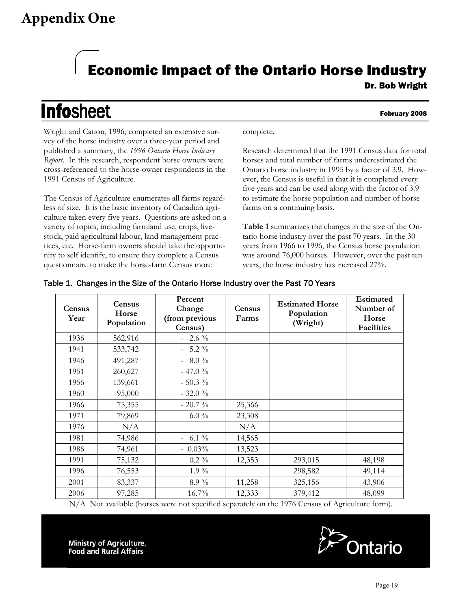## **Appendix One**

# Economic Impact of the Ontario Horse Industry

# **Infosheet**

#### February 2008

Wright and Cation, 1996, completed an extensive survey of the horse industry over a three-year period and published a summary, the *1996 Ontario Horse Industry Report*. In this research, respondent horse owners were cross-referenced to the horse-owner respondents in the 1991 Census of Agriculture.

The Census of Agriculture enumerates all farms regardless of size. It is the basic inventory of Canadian agriculture taken every five years. Questions are asked on a variety of topics, including farmland use, crops, livestock, paid agricultural labour, land management practices, etc. Horse-farm owners should take the opportunity to self identify, to ensure they complete a Census questionnaire to make the horse-farm Census more

complete.

Research determined that the 1991 Census data for total horses and total number of farms underestimated the Ontario horse industry in 1995 by a factor of 3.9. However, the Census is useful in that it is completed every five years and can be used along with the factor of 3.9 to estimate the horse population and number of horse farms on a continuing basis.

**Table 1** summarizes the changes in the size of the Ontario horse industry over the past 70 years. In the 30 years from 1966 to 1996, the Census horse population was around 76,000 horses. However, over the past ten years, the horse industry has increased 27%.

| <b>Census</b><br>Year | <b>Census</b><br>Horse<br>Population | Percent<br>Change<br>(from previous<br>Census) | Census<br>Farms | <b>Estimated Horse</b><br>Population<br>(Wright) | <b>Estimated</b><br>Number of<br>Horse<br><b>Facilities</b> |
|-----------------------|--------------------------------------|------------------------------------------------|-----------------|--------------------------------------------------|-------------------------------------------------------------|
| 1936                  | 562,916                              | $2.6\%$                                        |                 |                                                  |                                                             |
| 1941                  | 533,742                              | $5.2\%$                                        |                 |                                                  |                                                             |
| 1946                  | 491,287                              | $8.0\%$                                        |                 |                                                  |                                                             |
| 1951                  | 260,627                              | $-47.0%$                                       |                 |                                                  |                                                             |
| 1956                  | 139,661                              | $-50.3\%$                                      |                 |                                                  |                                                             |
| 1960                  | 95,000                               | $-32.0\%$                                      |                 |                                                  |                                                             |
| 1966                  | 75,355                               | $-20.7\%$                                      | 25,366          |                                                  |                                                             |
| 1971                  | 79,869                               | $6.0\%$                                        | 23,308          |                                                  |                                                             |
| 1976                  | N/A                                  |                                                | N/A             |                                                  |                                                             |
| 1981                  | 74,986                               | $-6.1\%$                                       | 14,565          |                                                  |                                                             |
| 1986                  | 74,961                               | $-0.03\%$                                      | 13,523          |                                                  |                                                             |
| 1991                  | 75,132                               | $0.2\%$                                        | 12,353          | 293,015                                          | 48,198                                                      |
| 1996                  | 76,553                               | $1.9\%$                                        |                 | 298,582                                          | 49,114                                                      |
| 2001                  | 83,337                               | $8.9\%$                                        | 11,258          | 325,156                                          | 43,906                                                      |
| 2006                  | 97,285                               | $16.7\%$                                       | 12,333          | 379,412                                          | 48,099                                                      |

### Table 1. Changes in the Size of the Ontario Horse Industry over the Past 70 Years

N/A Not available (horses were not specified separately on the 1976 Census of Agriculture form).

**Ministry of Agriculture,** 

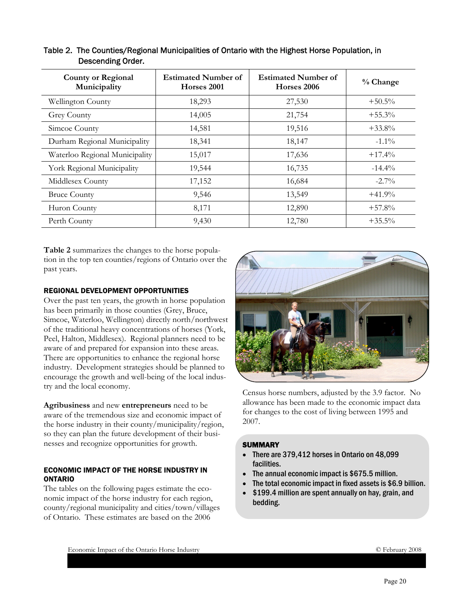| <b>County or Regional</b><br>Municipality | <b>Estimated Number of</b><br>Horses 2001 | <b>Estimated Number of</b><br>Horses 2006 | % Change  |
|-------------------------------------------|-------------------------------------------|-------------------------------------------|-----------|
| Wellington County                         | 18,293                                    | 27,530                                    | $+50.5\%$ |
| <b>Grey County</b>                        | 14,005                                    | 21,754                                    | $+55.3%$  |
| Simcoe County                             | 14,581                                    | 19,516                                    | $+33.8%$  |
| Durham Regional Municipality              | 18,341                                    | 18,147                                    | $-1.1\%$  |
| Waterloo Regional Municipality            | 15,017                                    | 17,636                                    | $+17.4%$  |
| York Regional Municipality                | 19,544                                    | 16,735                                    | $-14.4%$  |
| Middlesex County                          | 17,152                                    | 16,684                                    | $-2.7\%$  |
| <b>Bruce County</b>                       | 9,546                                     | 13,549                                    | $+41.9%$  |
| Huron County                              | 8,171                                     | 12,890                                    | $+57.8%$  |
| Perth County                              | 9,430                                     | 12,780                                    | $+35.5\%$ |

#### Table 2. The Counties/Regional Municipalities of Ontario with the Highest Horse Population, in Descending Order.

**Table 2** summarizes the changes to the horse population in the top ten counties/regions of Ontario over the past years.

#### REGIONAL DEVELOPMENT OPPORTUNITIES

Over the past ten years, the growth in horse population has been primarily in those counties (Grey, Bruce, Simcoe, Waterloo, Wellington) directly north/northwest of the traditional heavy concentrations of horses (York, Peel, Halton, Middlesex). Regional planners need to be aware of and prepared for expansion into these areas. There are opportunities to enhance the regional horse industry. Development strategies should be planned to encourage the growth and well-being of the local industry and the local economy.

**Agribusiness** and new **entrepreneurs** need to be aware of the tremendous size and economic impact of the horse industry in their county/municipality/region, so they can plan the future development of their businesses and recognize opportunities for growth.

#### ECONOMIC IMPACT OF THE HORSE INDUSTRY IN ONTARIO

The tables on the following pages estimate the economic impact of the horse industry for each region, county/regional municipality and cities/town/villages of Ontario. These estimates are based on the 2006



Census horse numbers, adjusted by the 3.9 factor. No allowance has been made to the economic impact data for changes to the cost of living between 1995 and 2007.

#### **SUMMARY**

- There are 379,412 horses in Ontario on 48,099 facilities.
- The annual economic impact is \$675.5 million.
- The total economic impact in fixed assets is \$6.9 billion.
- \$199.4 million are spent annually on hay, grain, and bedding.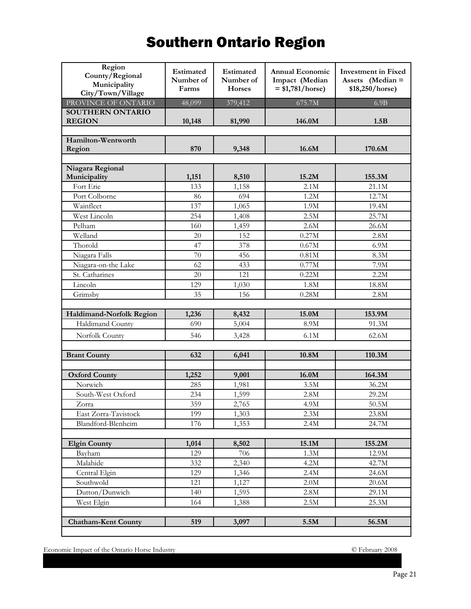# Southern Ontario Region

| Region<br>County/Regional<br>Municipality<br>City/Town/Village | Estimated<br>Number of<br>Farms | Estimated<br>Number of<br>Horses | <b>Annual Economic</b><br>Impact (Median<br>$= $1,781/horse)$ | <b>Investment</b> in Fixed<br>Assets (Median =<br>\$18,250/horse) |
|----------------------------------------------------------------|---------------------------------|----------------------------------|---------------------------------------------------------------|-------------------------------------------------------------------|
| PROVINCE OF ONTARIO                                            | 48,099                          | 379,412                          | 675.7M                                                        | 6.9B                                                              |
| <b>SOUTHERN ONTARIO</b><br><b>REGION</b>                       | 10,148                          | 81,990                           | 146.0M                                                        | 1.5B                                                              |
| Hamilton-Wentworth<br>Region                                   | 870                             | 9,348                            | 16.6M                                                         | 170.6M                                                            |
| Niagara Regional                                               |                                 |                                  |                                                               |                                                                   |
| Municipality                                                   | 1,151                           | 8,510                            | 15.2M                                                         | 155.3M                                                            |
| Fort Erie                                                      | 133                             | 1,158                            | 2.1M                                                          | 21.1M                                                             |
| Port Colborne                                                  | 86                              | 694                              | 1.2M                                                          | 12.7M                                                             |
| Wainfleet                                                      | 137                             | 1,065                            | 1.9M                                                          | 19.4M                                                             |
| West Lincoln                                                   | 254                             | 1,408                            | 2.5M                                                          | 25.7M                                                             |
| Pelham                                                         | 160                             | 1,459                            | 2.6M                                                          | 26.6M                                                             |
| Welland                                                        | 20                              | 152                              | 0.27M                                                         | 2.8M                                                              |
| Thorold                                                        | 47                              | 378                              | 0.67M                                                         | 6.9M                                                              |
| Niagara Falls                                                  | 70                              | 456                              | 0.81M                                                         | 8.3M                                                              |
| Niagara-on-the Lake                                            | 62                              | 433                              | 0.77M                                                         | $7.9M$                                                            |
| St. Catharines                                                 | 20                              | 121                              | 0.22M                                                         | 2.2M                                                              |
| Lincoln                                                        | 129                             | 1,030                            | 1.8M                                                          | 18.8M                                                             |
| Grimsby                                                        | 35                              | 156                              | 0.28M                                                         | 2.8M                                                              |
|                                                                |                                 |                                  |                                                               |                                                                   |
| Haldimand-Norfolk Region                                       | 1,236                           | 8,432                            | 15.0M                                                         | 153.9M                                                            |
| Haldimand County                                               | 690                             | 5,004                            | 8.9M                                                          | 91.3M                                                             |
| Norfolk County                                                 | 546                             | 3,428                            | 6.1M                                                          | 62.6M                                                             |
|                                                                |                                 |                                  |                                                               |                                                                   |
| <b>Brant County</b>                                            | 632                             | 6,041                            | 10.8M                                                         | 110.3M                                                            |
|                                                                |                                 |                                  |                                                               |                                                                   |
| <b>Oxford County</b>                                           | 1,252                           | 9,001                            | 16.0M                                                         | 164.3M                                                            |
| Norwich                                                        | 285                             | 1,981                            | 3.5M                                                          | 36.2M                                                             |
| South-West Oxford                                              | 234                             | 1,599                            | 2.8M                                                          | 29.2M                                                             |
| Zorra                                                          | 359                             | 2,765                            | 4.9M                                                          | 50.5M                                                             |
| East Zorra-Tavistock                                           | 199                             | 1,303                            | 2.3M                                                          | 23.8M                                                             |
| Blandford-Blenheim                                             | 176                             | 1,353                            | 2.4M                                                          | 24.7M                                                             |
|                                                                |                                 |                                  |                                                               |                                                                   |
| <b>Elgin County</b>                                            | 1,014                           | 8,502                            | 15.1M                                                         | 155.2M                                                            |
| Bayham                                                         | 129                             | 706                              | 1.3M                                                          | 12.9M                                                             |
| Malahide                                                       | 332                             | 2,340                            | 4.2M                                                          | 42.7M                                                             |
| Central Elgin                                                  | 129                             | 1,346                            | 2.4M                                                          | 24.6M                                                             |
| Southwold                                                      | 121                             | 1,127                            | 2.0M                                                          | $20.6M$                                                           |
| Dutton/Dunwich                                                 | 140                             | 1,595                            | $2.8M$                                                        | 29.1M                                                             |
| West Elgin                                                     | 164                             | 1,388                            | $2.5M$                                                        | 25.3M                                                             |
|                                                                |                                 |                                  |                                                               |                                                                   |
| <b>Chatham-Kent County</b>                                     | 519                             | 3,097                            | 5.5M                                                          | 56.5M                                                             |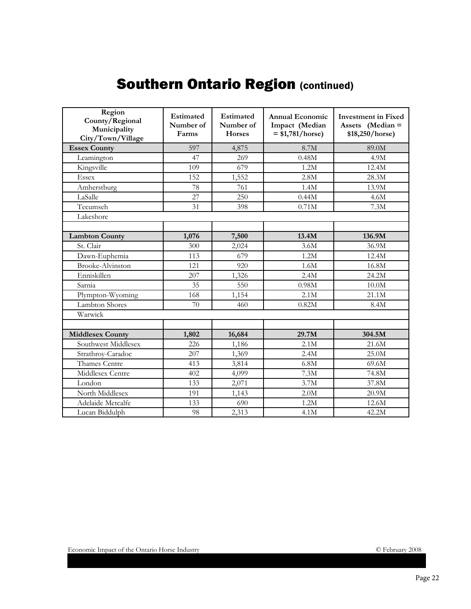# Southern Ontario Region (continued)

| Region<br>County/Regional<br>Municipality<br>City/Town/Village | Estimated<br>Number of<br>Farms | <b>Estimated</b><br>Number of<br>Horses | Annual Economic<br>Impact (Median<br>$= $1,781/horse)$ | <b>Investment in Fixed</b><br>Assets (Median =<br>\$18,250/horse) |
|----------------------------------------------------------------|---------------------------------|-----------------------------------------|--------------------------------------------------------|-------------------------------------------------------------------|
| <b>Essex County</b>                                            | 597                             | 4,875                                   | 8.7M                                                   | 89.0M                                                             |
| Leamington                                                     | 47                              | 269                                     | 0.48M                                                  | 4.9M                                                              |
| Kingsville                                                     | 109                             | 679                                     | 1.2M                                                   | 12.4M                                                             |
| <b>Essex</b>                                                   | 152                             | 1,552                                   | 2.8M                                                   | 28.3M                                                             |
| Amherstburg                                                    | 78                              | 761                                     | 1.4M                                                   | 13.9M                                                             |
| LaSalle                                                        | 27                              | 250                                     | 0.44M                                                  | 4.6M                                                              |
| Tecumseh                                                       | 31                              | 398                                     | 0.71M                                                  | 7.3M                                                              |
| Lakeshore                                                      |                                 |                                         |                                                        |                                                                   |
|                                                                |                                 |                                         |                                                        |                                                                   |
| <b>Lambton County</b>                                          | 1,076                           | 7,500                                   | 13.4M                                                  | 136.9M                                                            |
| St. Clair                                                      | 300                             | 2,024                                   | 3.6M                                                   | 36.9M                                                             |
| Dawn-Euphemia                                                  | 113                             | 679                                     | 1.2M                                                   | 12.4M                                                             |
| <b>Brooke-Alvinston</b>                                        | 121                             | 920                                     | 1.6M                                                   | 16.8M                                                             |
| Enniskillen                                                    | 207                             | 1,326                                   | 2.4M                                                   | 24.2M                                                             |
| Sarnia                                                         | 35                              | 550                                     | 0.98M                                                  | 10.0M                                                             |
| Plympton-Wyoming                                               | 168                             | 1,154                                   | 2.1M                                                   | 21.1M                                                             |
| <b>Lambton Shores</b>                                          | 70                              | 460                                     | 0.82M                                                  | 8.4M                                                              |
| Warwick                                                        |                                 |                                         |                                                        |                                                                   |
|                                                                |                                 |                                         |                                                        |                                                                   |
| <b>Middlesex County</b>                                        | 1,802                           | 16,684                                  | 29.7M                                                  | 304.5M                                                            |
| Southwest Middlesex                                            | 226                             | 1,186                                   | 2.1M                                                   | 21.6M                                                             |
| Strathroy-Caradoc                                              | 207                             | 1,369                                   | 2.4M                                                   | 25.0M                                                             |
| Thames Centre                                                  | 413                             | 3,814                                   | 6.8M                                                   | 69.6M                                                             |
| Middlesex Centre                                               | 402                             | 4,099                                   | 7.3M                                                   | 74.8M                                                             |
| London                                                         | 133                             | 2,071                                   | 3.7M                                                   | 37.8M                                                             |
| North Middlesex                                                | 191                             | 1,143                                   | 2.0M                                                   | 20.9M                                                             |
| Adelaide Metcalfe                                              | 133                             | 690                                     | 1.2M                                                   | 12.6M                                                             |
| Lucan Biddulph                                                 | 98                              | 2,313                                   | 4.1M                                                   | 42.2M                                                             |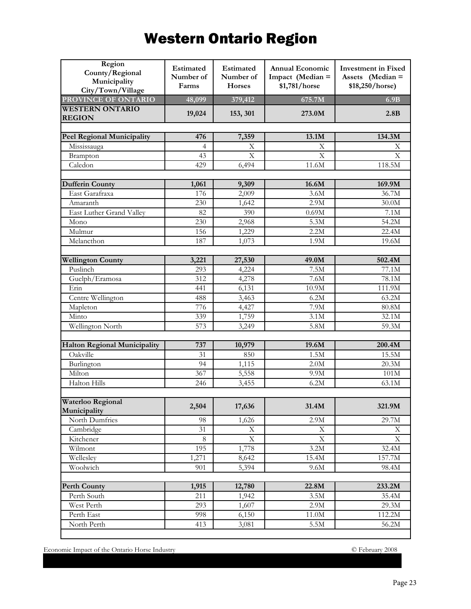# Western Ontario Region

| Region<br>County/Regional<br>Municipality<br>City/Town/Village | Estimated<br>Number of<br>Farms | Estimated<br>Number of<br><b>Horses</b> | <b>Annual Economic</b><br>Impact (Median =<br>\$1,781/horse | <b>Investment</b> in Fixed<br>Assets (Median =<br>\$18,250/horse) |
|----------------------------------------------------------------|---------------------------------|-----------------------------------------|-------------------------------------------------------------|-------------------------------------------------------------------|
| PROVINCE OF ONTARIO                                            | 48,099                          | 379,412                                 | 675.7M                                                      | 6.9B                                                              |
| <b>WESTERN ONTARIO</b><br><b>REGION</b>                        | 19,024                          | 153, 301                                | 273.0M                                                      | 2.8B                                                              |
|                                                                |                                 |                                         |                                                             |                                                                   |
| Peel Regional Municipality                                     | 476                             | 7,359                                   | 13.1M                                                       | 134.3M                                                            |
| Mississauga                                                    | $\overline{4}$                  | X                                       | Χ                                                           | Х                                                                 |
| Brampton                                                       | 43                              | $\boldsymbol{\mathrm{X}}$               | $\mathbf X$                                                 | X                                                                 |
| Caledon                                                        | 429                             | 6,494                                   | 11.6M                                                       | 118.5M                                                            |
| <b>Dufferin County</b>                                         | 1,061                           | 9,309                                   | 16.6M                                                       | 169.9M                                                            |
| East Garafraxa                                                 | 176                             | 2,009                                   | 3.6M                                                        | 36.7M                                                             |
| Amaranth                                                       | 230                             | 1,642                                   | 2.9M                                                        | 30.0M                                                             |
| East Luther Grand Valley                                       | 82                              | 390                                     | 0.69M                                                       | $7.1M$                                                            |
| Mono                                                           | 230                             | 2,968                                   | 5.3M                                                        | 54.2M                                                             |
| Mulmur                                                         | 156                             | 1,229                                   | 2.2M                                                        | 22.4M                                                             |
| Melancthon                                                     | 187                             | 1,073                                   | $1.9M$                                                      | 19.6M                                                             |
|                                                                |                                 |                                         |                                                             |                                                                   |
| <b>Wellington County</b>                                       | 3,221                           | 27,530                                  | 49.0M                                                       | 502.4M                                                            |
| Puslinch                                                       | $\overline{293}$                | 4,224                                   | 7.5M                                                        | 77.1M                                                             |
| Guelph/Eramosa                                                 | 312                             | 4,278                                   | $\overline{7.6M}$                                           | 78.1M                                                             |
| Erin                                                           | 441                             | 6,131                                   | 10.9M                                                       | 111.9M                                                            |
| Centre Wellington                                              | 488                             | 3,463                                   | 6.2M                                                        | 63.2M                                                             |
| Mapleton                                                       | 776                             | 4,427                                   | 7.9M                                                        | $80.8\rm M$                                                       |
| Minto                                                          | 339                             | 1,759                                   | 3.1M                                                        | 32.1M                                                             |
| Wellington North                                               | 573                             | 3,249                                   | 5.8M                                                        | 59.3M                                                             |
| <b>Halton Regional Municipality</b>                            | 737                             |                                         | 19.6M                                                       | 200.4M                                                            |
| Oakville                                                       | 31                              | 10,979<br>850                           | 1.5M                                                        | 15.5M                                                             |
| Burlington                                                     | 94                              |                                         | 2.0M                                                        | 20.3M                                                             |
| Milton                                                         | 367                             | 1,115                                   |                                                             |                                                                   |
| Halton Hills                                                   | 246                             | 5,558<br>3,455                          | 9.9M<br>6.2M                                                | 101M<br>63.1M                                                     |
|                                                                |                                 |                                         |                                                             |                                                                   |
| Waterloo Regional<br>Municipality                              | 2,504                           | 17,636                                  | 31.4M                                                       | 321.9M                                                            |
| North Dumfries                                                 | 98                              | 1,626                                   | 2.9M                                                        | 29.7M                                                             |
| Cambridge                                                      | 31                              | $\mathbf X$                             | $\mathbf X$                                                 | $\mathbf X$                                                       |
| Kitchener                                                      | $\,8\,$                         | $\mathbf X$                             | $\mathbf X$                                                 | $\mathbf X$                                                       |
| Wilmont                                                        | 195                             | 1,778                                   | 3.2M                                                        | $\overline{32.4M}$                                                |
| Wellesley                                                      | 1,271                           | 8,642                                   | 15.4M                                                       | 157.7M                                                            |
| Woolwich                                                       | 901                             | 5,394                                   | $9.6M$                                                      | 98.4M                                                             |
| <b>Perth County</b>                                            | 1,915                           | 12,780                                  | 22.8M                                                       | 233.2M                                                            |
| Perth South                                                    | 211                             | 1,942                                   | 3.5M                                                        | 35.4M                                                             |
| West Perth                                                     | 293                             | 1,607                                   | 2.9M                                                        | 29.3M                                                             |
| Perth East                                                     | 998                             | 6,150                                   | $11.0\mathrm{M}$                                            | 112.2M                                                            |
| North Perth                                                    | 413                             | 3,081                                   | $5.5M$                                                      | 56.2M                                                             |
|                                                                |                                 |                                         |                                                             |                                                                   |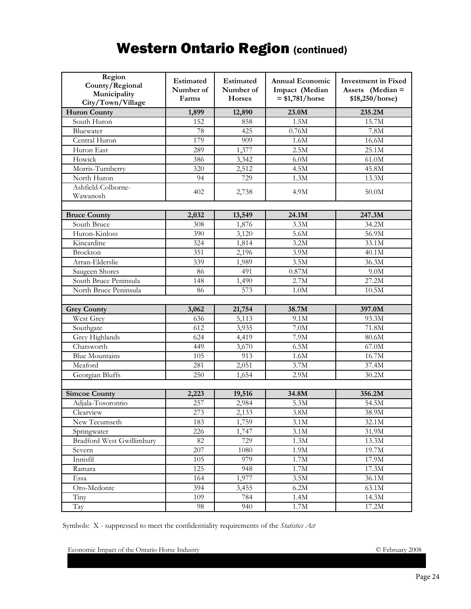## Western Ontario Region (continued)

| Region<br>County/Regional<br>Municipality<br>City/Town/Village | Estimated<br>Number of<br>Farms | Estimated<br>Number of<br><b>Horses</b> | <b>Annual Economic</b><br>Impact (Median<br>$= $1,781/horse$ | <b>Investment</b> in Fixed<br>Assets (Median =<br>\$18,250/horse) |
|----------------------------------------------------------------|---------------------------------|-----------------------------------------|--------------------------------------------------------------|-------------------------------------------------------------------|
| <b>Huron County</b>                                            | 1,899                           | 12,890                                  | 23.0M                                                        | 235.2M                                                            |
| South Huron                                                    | 152                             | 858                                     | 1.5M                                                         | 15.7M                                                             |
| Bluewater                                                      | 78                              | 425                                     | 0.76M                                                        | $\overline{7.8M}$                                                 |
| Central Huron                                                  | 179                             | 909                                     | 1.6M                                                         | 16.6M                                                             |
| Huron East                                                     | 289                             | 1,377                                   | 2.5M                                                         | 25.1M                                                             |
| Howick                                                         | 386                             | 3,342                                   | 6.0M                                                         | 61.0M                                                             |
| Morris-Turnberry                                               | 320                             | 2,512                                   | 4.5M                                                         | 45.8M                                                             |
| North Huron                                                    | 94                              | 729                                     | $1.3M$                                                       | 13.3M                                                             |
| Ashfield-Colborne-<br>Wawanosh                                 | 402                             | 2,738                                   | 4.9M                                                         | 50.0M                                                             |
|                                                                |                                 |                                         |                                                              |                                                                   |
| <b>Bruce County</b>                                            | 2,032                           | 13,549                                  | 24.1M                                                        | 247.3M                                                            |
| South Bruce                                                    | 308                             | 1,876                                   | 3.3M                                                         | 34.2M                                                             |
| Huron-Kinloss                                                  | 390                             | 3,120                                   | 5.6M                                                         | 56.9M                                                             |
| Kincardine                                                     | 324                             | 1,814                                   | 3.2M                                                         | 33.1M                                                             |
| Brockton                                                       | 351                             | 2,196                                   | 3.9M                                                         | 40.1M                                                             |
| Arran-Elderslie                                                | 339                             | 1,989                                   | 3.5M                                                         | 36.3M                                                             |
| Saugeen Shores                                                 | 86                              | 491                                     | 0.87M                                                        | 9.0M                                                              |
| South Bruce Peninsula                                          | 148                             | 1,490                                   | 2.7M                                                         | 27.2M                                                             |
| North Bruce Peninsula                                          | 86                              | 573                                     | $1.0M$                                                       | 10.5M                                                             |
|                                                                |                                 |                                         |                                                              |                                                                   |
| <b>Grey County</b>                                             | 3,062                           | 21,754                                  | 38.7M                                                        | 397.0M                                                            |
| West Grey                                                      | 636                             | 5,113                                   | 9.1M                                                         | 93.3M                                                             |
| Southgate                                                      | $\overline{612}$                | 3,935                                   | 7.0M                                                         | 71.8M                                                             |
| Grey Highlands                                                 | 624                             | 4,419                                   | 7.9M                                                         | 80.6M                                                             |
| Chatsworth                                                     | 449                             | 3,670                                   | 6.5M                                                         | 67.0M                                                             |
| <b>Blue Mountains</b>                                          | 105                             | 913                                     | $1.6M$                                                       | 16.7M                                                             |
| Meaford                                                        | 281                             | 2,051                                   | 3.7M                                                         | 37.4M                                                             |
| Georgian Bluffs                                                | 250                             | 1,654                                   | 2.9M                                                         | 30.2M                                                             |
|                                                                |                                 | 19,516                                  | 34.8M                                                        |                                                                   |
| <b>Simcoe County</b><br>Adjala-Tosorontio                      | 2,223<br>257                    |                                         | 5.3M                                                         | 356.2M<br>54.5M                                                   |
| Clearview                                                      | 273                             | 2,984                                   | 3.8M                                                         | 38.9M                                                             |
|                                                                |                                 | 2,133                                   |                                                              |                                                                   |
| New Tecumseth                                                  | 183                             | 1,759                                   | 3.1M                                                         | 32.1M                                                             |
| Springwater<br><b>Bradford West Gwillimbury</b>                | 226                             | 1,747                                   | 3.1M                                                         | 31.9M                                                             |
|                                                                | 82                              | 729                                     | 1.3M                                                         | 13.3M                                                             |
| Severn                                                         | 207                             | 1080                                    | 1.9M                                                         | 19.7M                                                             |
| Innisfil                                                       | 105                             | 979                                     | 1.7M                                                         | 17.9M                                                             |
| Ramara                                                         | 125                             | 948                                     | $1.7M$                                                       | 17.3M                                                             |
| Essa                                                           | 164                             | 1,977                                   | 3.5M                                                         | 36.1M                                                             |
| $O$ ro-Medonte                                                 | 394                             | 3,455                                   | $6.2M$                                                       | 63.1M                                                             |
| $T_{\text{inv}}$                                               | 109                             | 784                                     | 1.4M                                                         | 14.3M                                                             |
| Tay                                                            | 98                              | 940                                     | $1.7\rm M$                                                   | $17.2\mbox{M}$                                                    |

Symbols: X - suppressed to meet the confidentiality requirements of the *Statistics Act*

Economic Impact of the Ontario Horse Industry **CONFEDENTIAL CONTEX** CONSERVANCE PROPERTY 2008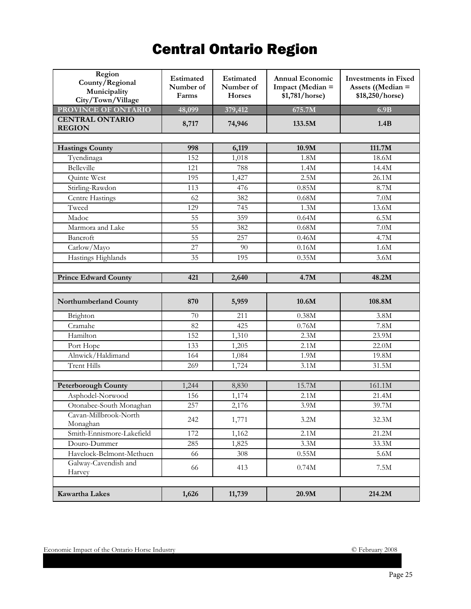# Central Ontario Region

| Region<br>County/Regional<br>Municipality<br>City/Town/Village | Estimated<br>Number of<br>Farms | Estimated<br>Number of<br><b>Horses</b> | <b>Annual Economic</b><br>Impact (Median =<br>\$1,781/horse) | <b>Investments in Fixed</b><br>Assets ((Median $=$<br>\$18,250/horse) |
|----------------------------------------------------------------|---------------------------------|-----------------------------------------|--------------------------------------------------------------|-----------------------------------------------------------------------|
| PROVINCE OF ONTARIO                                            | 48,099                          | 379,412                                 | 675.7M                                                       | 6.9B                                                                  |
| <b>CENTRAL ONTARIO</b><br><b>REGION</b>                        | 8,717                           | 74,946                                  | 133.5M                                                       | 1.4B                                                                  |
|                                                                |                                 |                                         |                                                              |                                                                       |
| <b>Hastings County</b>                                         | 998                             | 6,119                                   | 10.9M                                                        | 111.7M                                                                |
| Tyendinaga<br>Belleville                                       | 152                             | 1,018                                   | 1.8M                                                         | 18.6M<br>$14.4\overline{\mathrm{M}}$                                  |
|                                                                | 121                             | 788                                     | 1.4M<br>2.5M                                                 |                                                                       |
| Quinte West                                                    | 195                             | 1,427                                   |                                                              | 26.1M                                                                 |
| Stirling-Rawdon                                                | 113                             | 476                                     | 0.85M                                                        | 8.7M                                                                  |
| Centre Hastings                                                | 62                              | 382                                     | 0.68M                                                        | 7.0M                                                                  |
| Tweed                                                          | 129                             | 745                                     | 1.3M                                                         | 13.6M                                                                 |
| Madoc                                                          | 55                              | 359                                     | 0.64M                                                        | 6.5M                                                                  |
| Marmora and Lake                                               | 55                              | 382                                     | 0.68M                                                        | 7.0M                                                                  |
| Bancroft                                                       | 55                              | 257                                     | 0.46M                                                        | 4.7M                                                                  |
| Carlow/Mayo                                                    | 27                              | 90                                      | 0.16M                                                        | 1.6M                                                                  |
| Hastings Highlands                                             | 35                              | 195                                     | 0.35M                                                        | 3.6M                                                                  |
|                                                                |                                 |                                         |                                                              |                                                                       |
| <b>Prince Edward County</b>                                    | 421                             | 2,640                                   | 4.7M                                                         | 48.2M                                                                 |
| Northumberland County                                          | 870                             | 5,959                                   | 10.6M                                                        | 108.8M                                                                |
| Brighton                                                       | 70                              | 211                                     | 0.38M                                                        | 3.8M                                                                  |
| Cramahe                                                        | 82                              | 425                                     | 0.76M                                                        | 7.8M                                                                  |
| Hamilton                                                       | 152                             | 1,310                                   | 2.3M                                                         | 23.9M                                                                 |
| Port Hope                                                      | 133                             | 1,205                                   | 2.1M                                                         | 22.0M                                                                 |
| Alnwick/Haldimand                                              | 164                             | 1,084                                   | 1.9M                                                         | 19.8M                                                                 |
| <b>Trent Hills</b>                                             | 269                             | 1,724                                   | 3.1M                                                         | 31.5M                                                                 |
|                                                                |                                 |                                         |                                                              |                                                                       |
| <b>Peterborough County</b>                                     | 1,244                           | 8,830                                   | 15.7M                                                        | 161.1M                                                                |
| Asphodel-Norwood                                               | 156                             | 1,174                                   | 2.1M                                                         | 21.4M                                                                 |
| Otonabee-South Monaghan                                        | 257                             | 2,176                                   | 3.9M                                                         | 39.7M                                                                 |
| Cavan-Millbrook-North<br>Monaghan                              | 242                             | 1,771                                   | 3.2M                                                         | 32.3M                                                                 |
| Smith-Ennismore-Lakefield                                      | 172                             | 1,162                                   | 2.1M                                                         | 21.2M                                                                 |
| Douro-Dummer                                                   | 285                             | 1,825                                   | 3.3M                                                         | 33.3M                                                                 |
| Havelock-Belmont-Methuen                                       | 66                              | 308                                     | $0.55M$                                                      | 5.6M                                                                  |
| Galway-Cavendish and<br>Harvey                                 | 66                              | 413                                     | 0.74M                                                        | $7.5M$                                                                |
| Kawartha Lakes                                                 | 1,626                           | 11,739                                  | 20.9M                                                        | 214.2M                                                                |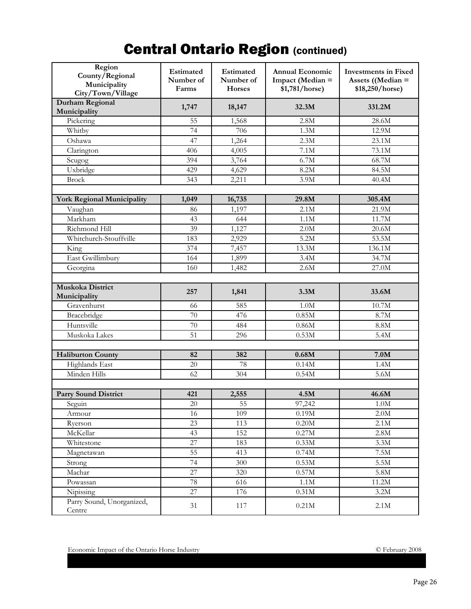# **Central Ontario Region (continued)**

| Region<br>County/Regional<br>Municipality<br>City/Town/Village | <b>Estimated</b><br>Number of<br>Farms | Estimated<br>Number of<br><b>Horses</b> | <b>Annual Economic</b><br>Impact (Median =<br>\$1,781/horse) | <b>Investments in Fixed</b><br>Assets ((Median $=$<br>\$18,250/horse) |
|----------------------------------------------------------------|----------------------------------------|-----------------------------------------|--------------------------------------------------------------|-----------------------------------------------------------------------|
| <b>Durham Regional</b><br>Municipality                         | 1,747                                  | 18,147                                  | 32.3M                                                        | 331.2M                                                                |
| Pickering                                                      | 55                                     | 1,568                                   | 2.8M                                                         | 28.6M                                                                 |
| Whitby                                                         | 74                                     | 706                                     | 1.3M                                                         | 12.9M                                                                 |
| Oshawa                                                         | 47                                     | 1,264                                   | 2.3M                                                         | 23.1M                                                                 |
| Clarington                                                     | 406                                    | 4,005                                   | 7.1M                                                         | 73.1M                                                                 |
| Scugog                                                         | 394                                    | 3,764                                   | 6.7M                                                         | 68.7M                                                                 |
| Uxbridge                                                       | 429                                    | 4,629                                   | 8.2M                                                         | 84.5M                                                                 |
| <b>Brock</b>                                                   | 343                                    | 2,211                                   | 3.9M                                                         | 40.4M                                                                 |
|                                                                |                                        |                                         |                                                              |                                                                       |
| <b>York Regional Municipality</b>                              | 1,049                                  | 16,735                                  | 29.8M                                                        | 305.4M                                                                |
| Vaughan                                                        | 86                                     | 1,197                                   | 2.1M                                                         | 21.9M                                                                 |
| Markham                                                        | 43                                     | 644                                     | 1.1M                                                         | 11.7M                                                                 |
| Richmond Hill                                                  | 39                                     | 1,127                                   | 2.0M                                                         | 20.6M                                                                 |
| Whitchurch-Stouffville                                         | 183                                    | 2,929                                   | 5.2M                                                         | 53.5M                                                                 |
| King                                                           | 374                                    | 7,457                                   | 13.3M                                                        | 136.1M                                                                |
| East Gwillimbury                                               | 164                                    | 1,899                                   | 3.4M                                                         | 34.7M                                                                 |
| Georgina                                                       | 160                                    | 1,482                                   | 2.6M                                                         | 27.0M                                                                 |
|                                                                |                                        |                                         |                                                              |                                                                       |
| <b>Muskoka District</b>                                        | 257                                    | 1,841                                   | 3.3M                                                         | 33.6M                                                                 |
| Municipality                                                   |                                        |                                         |                                                              |                                                                       |
| Gravenhurst                                                    | 66                                     | 585                                     | 1.0M                                                         | 10.7M                                                                 |
| Bracebridge                                                    | 70                                     | 476                                     | 0.85M                                                        | 8.7M                                                                  |
| Huntsville                                                     | 70                                     | 484                                     | 0.86M                                                        | 8.8M                                                                  |
| Muskoka Lakes                                                  | 51                                     | 296                                     | 0.53M                                                        | 5.4M                                                                  |
|                                                                |                                        |                                         |                                                              |                                                                       |
| <b>Haliburton County</b>                                       | 82                                     | 382                                     | 0.68M                                                        | 7.0M                                                                  |
| Highlands East                                                 | 20                                     | 78                                      | 0.14M                                                        | 1.4M                                                                  |
| Minden Hills                                                   | 62                                     | 304                                     | 0.54M                                                        | 5.6M                                                                  |
|                                                                |                                        |                                         |                                                              |                                                                       |
| <b>Parry Sound District</b>                                    | 421                                    | 2,555                                   | 4.5M                                                         | 46.6M                                                                 |
| Seguin                                                         | 20                                     | 55                                      | 97,242                                                       | $1.0M$                                                                |
| Armour                                                         | 16                                     | 109                                     | 0.19M                                                        | $2.0M$<br>2.1M                                                        |
| Ryerson                                                        | 23                                     | 113                                     | $0.20M$                                                      |                                                                       |
| McKellar                                                       | 43                                     | 152                                     | $0.27\rm M$                                                  | $2.8M$                                                                |
| Whitestone                                                     | 27                                     | 183                                     | $0.33\rm M$                                                  | $3.3M$                                                                |
| Magnetawan                                                     | 55                                     | 413                                     | 0.74M                                                        | $7.5M$                                                                |
| Strong                                                         | 74                                     | 300                                     | $0.53\rm M$                                                  | $5.5M$                                                                |
| Machar                                                         | 27                                     | 320                                     | $0.57M$                                                      | $5.8M$                                                                |
| Powassan                                                       | $78\,$                                 | 616                                     | 1.1M                                                         | 11.2M                                                                 |
| Nipissing                                                      | 27                                     | 176                                     | $0.31\rm M$                                                  | 3.2M                                                                  |
| Parry Sound, Unorganized,<br>Centre                            | 31                                     | 117                                     | 0.21M                                                        | 2.1M                                                                  |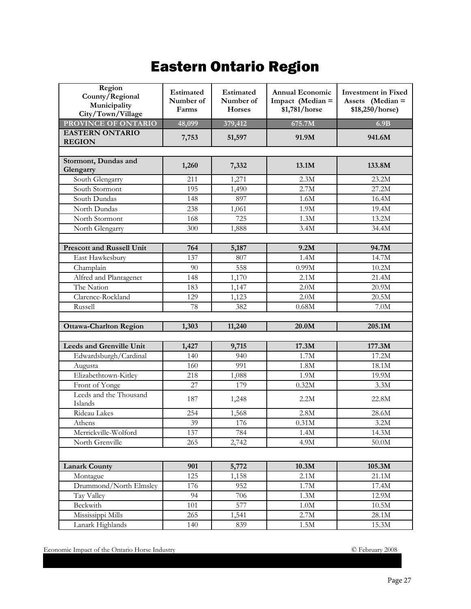# Eastern Ontario Region

| Region<br>County/Regional<br>Municipality<br>City/Town/Village | Estimated<br>Number of<br>Farms | Estimated<br>Number of<br><b>Horses</b> | <b>Annual Economic</b><br>Impact (Median =<br>\$1,781/horse | <b>Investment</b> in Fixed<br>Assets (Median =<br>\$18,250/horse) |
|----------------------------------------------------------------|---------------------------------|-----------------------------------------|-------------------------------------------------------------|-------------------------------------------------------------------|
| PROVINCE OF ONTARIO                                            | 48,099                          | 379,412                                 | 675.7M                                                      | 6.9B                                                              |
| <b>EASTERN ONTARIO</b>                                         | 7,753                           | 51,597                                  | 91.9M                                                       | 941.6M                                                            |
| <b>REGION</b>                                                  |                                 |                                         |                                                             |                                                                   |
|                                                                |                                 |                                         |                                                             |                                                                   |
| Stormont, Dundas and<br>Glengarry                              | 1,260                           | 7,332                                   | 13.1M                                                       | 133.8M                                                            |
| South Glengarry                                                | 211                             | 1,271                                   | 2.3M                                                        | 23.2M                                                             |
| South Stormont                                                 | 195                             | 1,490                                   | 2.7M                                                        | 27.2M                                                             |
| South Dundas                                                   | 148                             | 897                                     | 1.6M                                                        | 16.4M                                                             |
| North Dundas                                                   | 238                             | 1,061                                   | 1.9M                                                        | 19.4M                                                             |
| North Stormont                                                 | 168                             | 725                                     | 1.3M                                                        | 13.2M                                                             |
| North Glengarry                                                | 300                             | 1,888                                   | 3.4M                                                        | 34.4M                                                             |
|                                                                |                                 |                                         |                                                             |                                                                   |
| <b>Prescott and Russell Unit</b>                               | 764                             | 5,187                                   | 9.2M                                                        | 94.7M                                                             |
| East Hawkesbury                                                | 137                             | 807                                     | 1.4M                                                        | 14.7M                                                             |
| Champlain                                                      | 90                              | 558                                     | 0.99M                                                       | 10.2M                                                             |
| Alfred and Plantagenet                                         | 148                             | 1,170                                   | 2.1M                                                        | 21.4M                                                             |
| The Nation                                                     | 183                             | 1,147                                   | 2.0M                                                        | 20.9M                                                             |
| Clarence-Rockland                                              | 129                             | 1,123                                   | 2.0M                                                        | 20.5M                                                             |
| Russell                                                        | 78                              | 382                                     | 0.68M                                                       | 7.0M                                                              |
|                                                                |                                 |                                         |                                                             |                                                                   |
| <b>Ottawa-Charlton Region</b>                                  | 1,303                           | 11,240                                  | 20.0M                                                       | 205.1M                                                            |
|                                                                |                                 |                                         |                                                             |                                                                   |
| <b>Leeds and Grenville Unit</b>                                | 1,427                           | 9,715                                   | 17.3M                                                       | 177.3M                                                            |
| Edwardsburgh/Cardinal                                          | 140                             | 940                                     | 1.7M                                                        | 17.2M                                                             |
| Augusta                                                        | 160                             | 991                                     | 1.8M                                                        | 18.1M                                                             |
| Elizabethtown-Kitley                                           | 218                             | 1,088                                   | 1.9M                                                        | 19.9M                                                             |
| Front of Yonge                                                 | 27                              | 179                                     | 0.32M                                                       | 3.3M                                                              |
| Leeds and the Thousand<br>Islands                              | 187                             | 1,248                                   | 2.2M                                                        | 22.8M                                                             |
| Rideau Lakes                                                   | 254                             | 1,568                                   | 2.8M                                                        | 28.6M                                                             |
| Athens                                                         | 39                              | 176                                     | 0.31M                                                       | 3.2M                                                              |
| Merrickville-Wolford                                           | 137                             | 784                                     | 1.4M                                                        | 14.3M                                                             |
| North Grenville                                                | 265                             | 2,742                                   | 4.9M                                                        | $50.0M$                                                           |
|                                                                |                                 |                                         |                                                             |                                                                   |
| <b>Lanark County</b>                                           | 901                             | 5,772                                   | 10.3M                                                       | 105.3M                                                            |
| Montague                                                       | 125                             | 1,158                                   | 2.1M                                                        | 21.1M                                                             |
| Drummond/North Elmsley                                         | 176                             | 952                                     | 1.7M                                                        | 17.4M                                                             |
| Tay Valley                                                     | 94                              | 706                                     | 1.3M                                                        | 12.9M                                                             |
| Beckwith                                                       | 101                             | 577                                     | $1.0\mathrm{M}$                                             | $10.5\rm{M}$                                                      |
| Mississippi Mills                                              | 265                             | 1,541                                   | 2.7M                                                        | 28.1M                                                             |
| Lanark Highlands                                               | 140                             | 839                                     | $1.5\rm{M}$                                                 | $15.3\rm M$                                                       |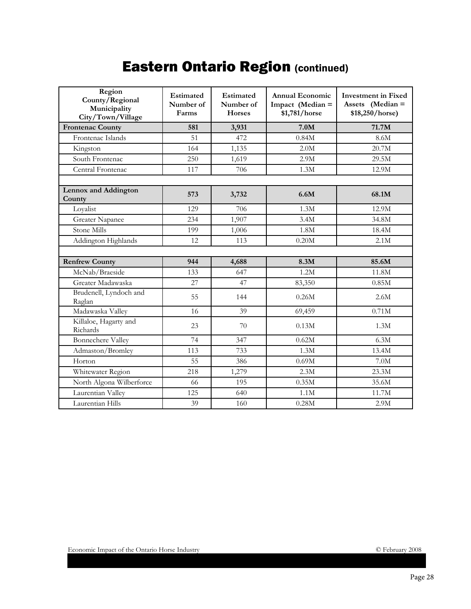# Eastern Ontario Region (continued)

| Region<br>County/Regional<br>Municipality<br>City/Town/Village | Estimated<br>Number of<br>Farms | Estimated<br>Number of<br>Horses | <b>Annual Economic</b><br>Impact (Median =<br>\$1,781/horse | <b>Investment in Fixed</b><br>Assets (Median =<br>\$18,250/horse) |
|----------------------------------------------------------------|---------------------------------|----------------------------------|-------------------------------------------------------------|-------------------------------------------------------------------|
| <b>Frontenac County</b>                                        | 581                             | 3,931                            | 7.0M                                                        | 71.7M                                                             |
| Frontenac Islands                                              | 51                              | 472                              | 0.84M                                                       | 8.6M                                                              |
| Kingston                                                       | 164                             | 1,135                            | 2.0M                                                        | 20.7M                                                             |
| South Frontenac                                                | 250                             | 1,619                            | 2.9M                                                        | 29.5M                                                             |
| Central Frontenac                                              | 117                             | 706                              | 1.3M                                                        | 12.9M                                                             |
|                                                                |                                 |                                  |                                                             |                                                                   |
| <b>Lennox and Addington</b><br>County                          | 573                             | 3,732                            | 6.6M                                                        | 68.1M                                                             |
| Loyalist                                                       | 129                             | 706                              | 1.3M                                                        | 12.9M                                                             |
| Greater Napanee                                                | 234                             | 1,907                            | 3.4M                                                        | 34.8M                                                             |
| Stone Mills                                                    | 199                             | 1,006                            | 1.8M                                                        | 18.4M                                                             |
| Addington Highlands                                            | 12                              | 113                              | 0.20M                                                       | 2.1M                                                              |
|                                                                |                                 |                                  |                                                             |                                                                   |
| <b>Renfrew County</b>                                          | 944                             | 4,688                            | 8.3M                                                        | 85.6M                                                             |
| McNab/Braeside                                                 | 133                             | 647                              | 1.2M                                                        | 11.8M                                                             |
| Greater Madawaska                                              | 27                              | 47                               | 83,350                                                      | 0.85M                                                             |
| Brudenell, Lyndoch and<br>Raglan                               | 55                              | 144                              | 0.26M                                                       | 2.6M                                                              |
| Madawaska Valley                                               | 16                              | 39                               | 69,459                                                      | 0.71M                                                             |
| Killaloe, Hagarty and<br>Richards                              | 23                              | 70                               | 0.13M                                                       | 1.3M                                                              |
| <b>Bonnechere Valley</b>                                       | 74                              | 347                              | 0.62M                                                       | 6.3M                                                              |
| Admaston/Bromley                                               | 113                             | 733                              | 1.3M                                                        | 13.4M                                                             |
| Horton                                                         | 55                              | 386                              | 0.69M                                                       | 7.0M                                                              |
| Whitewater Region                                              | 218                             | 1,279                            | 2.3M                                                        | 23.3M                                                             |
| North Algona Wilberforce                                       | 66                              | 195                              | 0.35M                                                       | 35.6M                                                             |
| Laurentian Valley                                              | 125                             | 640                              | 1.1M                                                        | 11.7M                                                             |
| Laurentian Hills                                               | 39                              | 160                              | 0.28M                                                       | 2.9M                                                              |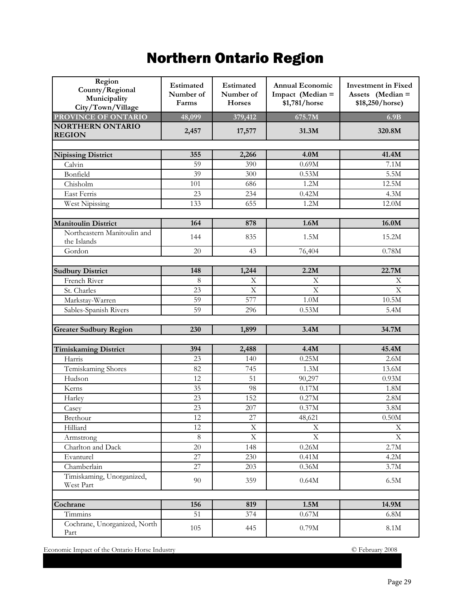# Northern Ontario Region

| Region<br>County/Regional<br>Municipality<br>City/Town/Village | Estimated<br>Number of<br>Farms | Estimated<br>Number of<br><b>Horses</b> | <b>Annual Economic</b><br>Impact (Median =<br>\$1,781/horse | <b>Investment in Fixed</b><br>Assets (Median =<br>\$18,250/horse) |
|----------------------------------------------------------------|---------------------------------|-----------------------------------------|-------------------------------------------------------------|-------------------------------------------------------------------|
| PROVINCE OF ONTARIO                                            | 48,099                          | 379,412                                 | 675.7M                                                      | 6.9B                                                              |
| <b>NORTHERN ONTARIO</b><br><b>REGION</b>                       | 2,457                           | 17,577                                  | 31.3M                                                       | 320.8M                                                            |
|                                                                |                                 |                                         |                                                             |                                                                   |
| <b>Nipissing District</b>                                      | 355                             | 2,266                                   | 4.0M                                                        | 41.4M                                                             |
| Calvin                                                         | 59                              | 390                                     | 0.69M                                                       | 7.1M                                                              |
| Bonfield                                                       | 39                              | 300                                     | 0.53M                                                       | 5.5M                                                              |
| Chisholm                                                       | 101                             | 686                                     | 1.2M                                                        | 12.5M                                                             |
| East Ferris                                                    | 23                              | 234                                     | 0.42M                                                       | 4.3M                                                              |
| West Nipissing                                                 | 133                             | 655                                     | 1.2M                                                        | 12.0M                                                             |
|                                                                |                                 |                                         |                                                             |                                                                   |
| <b>Manitoulin District</b>                                     | 164                             | 878                                     | 1.6M                                                        | 16.0M                                                             |
| Northeastern Manitoulin and<br>the Islands                     | 144                             | 835                                     | 1.5M                                                        | 15.2M                                                             |
| Gordon                                                         | 20                              | 43                                      | 76,404                                                      | 0.78M                                                             |
|                                                                |                                 |                                         |                                                             |                                                                   |
| <b>Sudbury District</b>                                        | 148                             | 1,244                                   | 2.2M                                                        | 22.7M                                                             |
| French River                                                   | 8                               | $\mathbf X$                             | $\boldsymbol{\mathrm{X}}$                                   | X                                                                 |
| St. Charles                                                    | 23                              | $\mathbf X$                             | $\mathbf X$                                                 | $\mathbf X$                                                       |
| Markstay-Warren                                                | 59                              | 577                                     | $1.0M$                                                      | 10.5M                                                             |
| Sables-Spanish Rivers                                          | 59                              | 296                                     | 0.53M                                                       | 5.4M                                                              |
|                                                                |                                 |                                         |                                                             |                                                                   |
| <b>Greater Sudbury Region</b>                                  | 230                             | 1,899                                   | 3.4M                                                        | 34.7M                                                             |
|                                                                | 394                             |                                         | 4.4M                                                        | 45.4M                                                             |
| <b>Timiskaming District</b>                                    |                                 | 2,488                                   | 0.25M                                                       | 2.6M                                                              |
| Harris                                                         | 23<br>82                        | 140<br>745                              | 1.3M                                                        | 13.6M                                                             |
| Temiskaming Shores                                             | 12                              | 51                                      |                                                             | 0.93M                                                             |
| Hudson                                                         | 35                              | 98                                      | 90,297<br>0.17M                                             | 1.8M                                                              |
| Kerns                                                          | 23                              | 152                                     | 0.27M                                                       | 2.8M                                                              |
| Harley<br>Casey                                                | 23                              | 207                                     | 0.37M                                                       | 3.8M                                                              |
| Brethour                                                       | 12                              | 27                                      | 48,621                                                      | 0.50M                                                             |
| Hilliard                                                       | 12                              | X                                       | $\mathbf X$                                                 | $\mathbf X$                                                       |
| Armstrong                                                      | $8\,$                           | $\mathbf X$                             | $\mathbf X$                                                 | $\mathbf X$                                                       |
| Charlton and Dack                                              | 20                              | 148                                     | $0.26\rm M$                                                 | 2.7M                                                              |
| Evanturel                                                      | $\overline{27}$                 | 230                                     | 0.41M                                                       | 4.2M                                                              |
| Chamberlain                                                    | 27                              | 203                                     | $0.36\rm M$                                                 | 3.7M                                                              |
| Timiskaming, Unorganized,<br>West Part                         | 90                              | 359                                     | $0.64M$                                                     | 6.5M                                                              |
|                                                                |                                 |                                         |                                                             |                                                                   |
| Cochrane                                                       | 156                             | 819                                     | 1.5M                                                        | 14.9M                                                             |
| Timmins                                                        | 51                              | 374                                     | $0.67\rm M$                                                 | $6.8M$                                                            |
| Cochrane, Unorganized, North<br>Part                           | 105                             | 445                                     | 0.79M                                                       | $8.1\rm M$                                                        |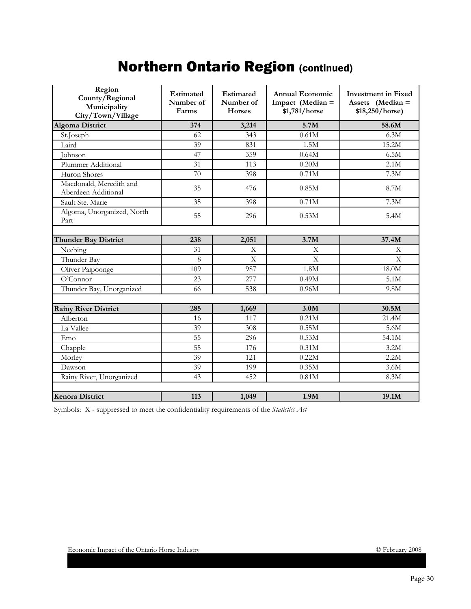## **Northern Ontario Region (continued)**

| Region<br>County/Regional<br>Municipality<br>City/Town/Village | Estimated<br>Number of<br>Farms | <b>Estimated</b><br>Number of<br><b>Horses</b> | Annual Economic<br>Impact (Median =<br>\$1,781/horse | <b>Investment in Fixed</b><br>Assets (Median =<br>\$18,250/horse) |
|----------------------------------------------------------------|---------------------------------|------------------------------------------------|------------------------------------------------------|-------------------------------------------------------------------|
| <b>Algoma District</b>                                         | 374                             | 3,214                                          | 5.7M                                                 | 58.6M                                                             |
| St.Joseph                                                      | 62                              | 343                                            | 0.61M                                                | 6.3M                                                              |
| Laird                                                          | 39                              | 831                                            | 1.5M                                                 | 15.2M                                                             |
| <b>Johnson</b>                                                 | 47                              | 359                                            | 0.64M                                                | 6.5M                                                              |
| Plummer Additional                                             | 31                              | 113                                            | 0.20M                                                | 2.1M                                                              |
| Huron Shores                                                   | 70                              | 398                                            | 0.71M                                                | 7.3M                                                              |
| Macdonald, Meredith and<br>Aberdeen Additional                 | 35                              | 476                                            | 0.85M                                                | 8.7M                                                              |
| Sault Ste. Marie                                               | $\overline{35}$                 | 398                                            | 0.71M                                                | 7.3M                                                              |
| Algoma, Unorganized, North<br>Part                             | 55                              | 296                                            | 0.53M                                                | 5.4M                                                              |
|                                                                |                                 |                                                |                                                      |                                                                   |
| <b>Thunder Bay District</b>                                    | 238                             | 2,051                                          | 3.7M                                                 | 37.4M                                                             |
| Neebing                                                        | 31                              | X                                              | X                                                    | $\mathbf{X}$                                                      |
| Thunder Bay                                                    | 8                               | $\mathbf{X}$                                   | $\mathbf{X}$                                         | $\mathbf{X}$                                                      |
| Oliver Paipoonge                                               | 109                             | 987                                            | 1.8M                                                 | 18.0M                                                             |
| O'Connect                                                      | 23                              | 277                                            | 0.49M                                                | 5.1M                                                              |
| Thunder Bay, Unorganized                                       | 66                              | 538                                            | 0.96M                                                | 9.8M                                                              |
|                                                                |                                 |                                                |                                                      |                                                                   |
| <b>Rainy River District</b>                                    | 285                             | 1,669                                          | 3.0M                                                 | 30.5M                                                             |
| Alberton                                                       | 16                              | 117                                            | 0.21M                                                | 21.4M                                                             |
| La Vallee                                                      | 39                              | 308                                            | 0.55M                                                | 5.6M                                                              |
| Emo                                                            | 55                              | 296                                            | 0.53M                                                | 54.1M                                                             |
| Chapple                                                        | $\overline{55}$                 | 176                                            | 0.31M                                                | 3.2M                                                              |
| Morley                                                         | 39                              | 121                                            | 0.22M                                                | 2.2M                                                              |
| Dawson                                                         | 39                              | 199                                            | 0.35M                                                | 3.6M                                                              |
| Rainy River, Unorganized                                       | 43                              | 452                                            | 0.81M                                                | 8.3M                                                              |
|                                                                |                                 |                                                |                                                      |                                                                   |
| <b>Kenora District</b>                                         | 113                             | 1,049                                          | 1.9M                                                 | 19.1M                                                             |

Symbols: X - suppressed to meet the confidentiality requirements of the *Statistics Act*